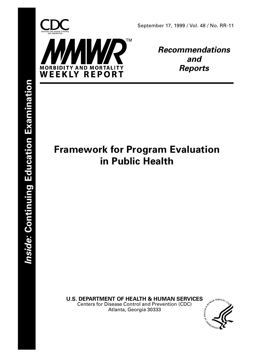



**Recommendations and Reports**

# **Framework for Program Evaluation in Public Health**

**U.S. DEPARTMENT OF HEALTH & HUMAN SERVICES**<br>Centers for Disease Control and Prevention (CDC)<br>Atlanta, Georgia 2006 Centers for Disease Control and Prevention (CDC)

Atlanta, Georgia 30333

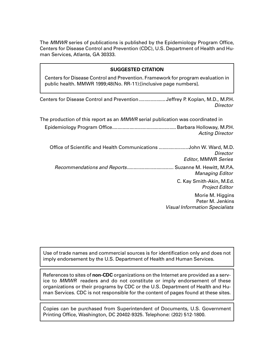The MMWR series of publications is published by the Epidemiology Program Office, Centers for Disease Control and Prevention (CDC), U.S. Department of Health and Human Services, Atlanta, GA 30333.

### **SUGGESTED CITATION**

Centers for Disease Control and Prevention. Framework for program evaluation in public health. MMWR 1999;48(No. RR-11):[inclusive page numbers].

| Centers for Disease Control and Prevention Jeffrey P. Koplan, M.D., M.P.H. |          |
|----------------------------------------------------------------------------|----------|
|                                                                            | Director |

| The production of this report as an <i>MMWR</i> serial publication was coordinated in                       |
|-------------------------------------------------------------------------------------------------------------|
| <b>Acting Director</b>                                                                                      |
| Office of Scientific and Health Communications John W. Ward, M.D.<br>Director<br><b>Editor, MMWR Series</b> |
| Suzanne M. Hewitt, M.P.A.<br><b>Managing Editor</b>                                                         |
| C. Kay Smith-Akin, M.Ed.<br><b>Project Editor</b>                                                           |
| Morie M. Higgins<br>Peter M. Jenkins<br><b>Visual Information Specialists</b>                               |

Use of trade names and commercial sources is for identification only and does not imply endorsement by the U.S. Department of Health and Human Services.

References to sites of **non-CDC** organizations on the Internet are provided as a service to MMWR readers and do not constitute or imply endorsement of these organizations or their programs by CDC or the U.S. Department of Health and Human Services. CDC is not responsible for the content of pages found at these sites.

Copies can be purchased from Superintendent of Documents, U.S. Government Printing Office, Washington, DC 20402-9325. Telephone: (202) 512-1800.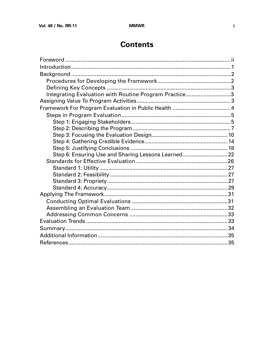# **Contents**

| Integrating Evaluation with Routine Program Practice3 |  |
|-------------------------------------------------------|--|
|                                                       |  |
|                                                       |  |
|                                                       |  |
|                                                       |  |
|                                                       |  |
|                                                       |  |
|                                                       |  |
|                                                       |  |
| Step 6: Ensuring Use and Sharing Lessons Learned 22   |  |
|                                                       |  |
|                                                       |  |
|                                                       |  |
|                                                       |  |
|                                                       |  |
|                                                       |  |
|                                                       |  |
|                                                       |  |
|                                                       |  |
|                                                       |  |
|                                                       |  |
|                                                       |  |
|                                                       |  |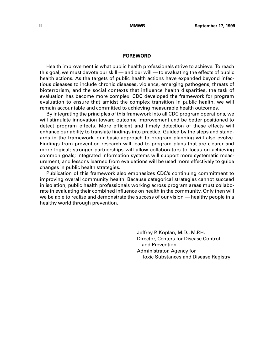#### **FOREWORD**

<span id="page-3-0"></span>Health improvement is what public health professionals strive to achieve. To reach this goal, we must devote our skill — and our will — to evaluating the effects of public health actions. As the targets of public health actions have expanded beyond infectious diseases to include chronic diseases, violence, emerging pathogens, threats of bioterrorism, and the social contexts that influence health disparities, the task of evaluation has become more complex. CDC developed the framework for program evaluation to ensure that amidst the complex transition in public health, we will remain accountable and committed to achieving measurable health outcomes.

By integrating the principles of this framework into all CDC program operations, we will stimulate innovation toward outcome improvement and be better positioned to detect program effects. More efficient and timely detection of these effects will enhance our ability to translate findings into practice. Guided by the steps and standards in the framework, our basic approach to program planning will also evolve. Findings from prevention research will lead to program plans that are clearer and more logical; stronger partnerships will allow collaborators to focus on achieving common goals; integrated information systems will support more systematic measurement; and lessons learned from evaluations will be used more effectively to guide changes in public health strategies.

Publication of this framework also emphasizes CDC's continuing commitment to improving overall community health. Because categorical strategies cannot succeed in isolation, public health professionals working across program areas must collaborate in evaluating their combined influence on health in the community. Only then will we be able to realize and demonstrate the success of our vision — healthy people in a healthy world through prevention.

> Jeffrey P. Koplan, M.D., M.P.H. Director, Centers for Disease Control and Prevention Administrator, Agency for Toxic Substances and Disease Registry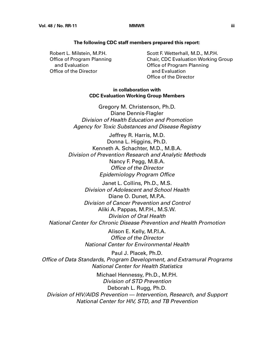#### **The following CDC staff members prepared this report:**

 Robert L. Milstein, M.P.H. Office of Program Planning and Evaluation Office of the Director

 Scott F. Wetterhall, M.D., M.P.H. Chair, CDC Evaluation Working Group Office of Program Planning and Evaluation Office of the Director

#### **in collaboration with CDC Evaluation Working Group Members**

Gregory M. Christenson, Ph.D. Diane Dennis-Flagler Division of Health Education and Promotion Agency for Toxic Substances and Disease Registry

Jeffrey R. Harris, M.D. Donna L. Higgins, Ph.D. Kenneth A. Schachter, M.D., M.B.A. Division of Prevention Research and Analytic Methods Nancy F. Pegg, M.B.A. Office of the Director Epidemiology Program Office

Janet L. Collins, Ph.D., M.S. Division of Adolescent and School Health Diane O. Dunet, M.P.A. Division of Cancer Prevention and Control Aliki A. Pappas, M.P.H., M.S.W. Division of Oral Health National Center for Chronic Disease Prevention and Health Promotion

> Alison E. Kelly, M.P.I.A. Office of the Director National Center for Environmental Health

Paul J. Placek, Ph.D. Office of Data Standards, Program Development, and Extramural Programs National Center for Health Statistics

Michael Hennessy, Ph.D., M.P.H. Division of STD Prevention Deborah L. Rugg, Ph.D. Division of HIV/AIDS Prevention — Intervention, Research, and Support National Center for HIV, STD, and TB Prevention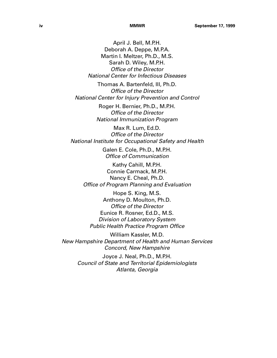April J. Bell, M.P.H. Deborah A. Deppe, M.P.A. Martin I. Meltzer, Ph.D., M.S. Sarah D. Wiley, M.P.H. Office of the Director National Center for Infectious Diseases

Thomas A. Bartenfeld, III, Ph.D. Office of the Director National Center for Injury Prevention and Control

> Roger H. Bernier, Ph.D., M.P.H. Office of the Director National Immunization Program

Max R. Lum, Ed.D. Office of the Director National Institute for Occupational Safety and Health

> Galen E. Cole, Ph.D., M.P.H. Office of Communication

Kathy Cahill, M.P.H. Connie Carmack, M.P.H. Nancy E. Cheal, Ph.D. Office of Program Planning and Evaluation

Hope S. King, M.S. Anthony D. Moulton, Ph.D. Office of the Director Eunice R. Rosner, Ed.D., M.S. Division of Laboratory System Public Health Practice Program Office

William Kassler, M.D. New Hampshire Department of Health and Human Services Concord, New Hampshire

> Joyce J. Neal, Ph.D., M.P.H. Council of State and Territorial Epidemiologists Atlanta, Georgia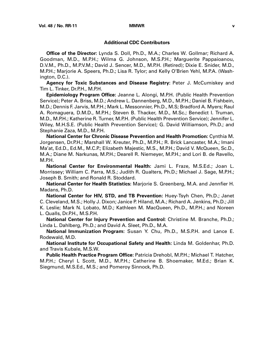#### **Additional CDC Contributors**

**Office of the Director:** Lynda S. Doll, Ph.D., M.A.; Charles W. Gollmar; Richard A. Goodman, M.D., M.P.H.; Wilma G. Johnson, M.S.P.H.; Marguerite Pappaioanou, D.V.M., Ph.D., M.P.V.M.; David J. Sencer, M.D., M.P.H. (Retired); Dixie E. Snider, M.D., M.P.H.; Marjorie A. Speers, Ph.D.; Lisa R. Tylor; and Kelly O'Brien Yehl, M.P.A. (Washington, D.C.).

**Agency for Toxic Substances and Disease Registry:** Peter J. McCumiskey and Tim L. Tinker, Dr.P.H., M.P.H.

**Epidemiology Program Office:** Jeanne L. Alongi, M.P.H. (Public Health Prevention Service); Peter A. Briss, M.D.; Andrew L. Dannenberg, M.D., M.P.H.; Daniel B. Fishbein, M.D.; Dennis F. Jarvis, M.P.H.; Mark L. Messonnier, Ph.D., M.S; Bradford A. Myers; Raul A. Romaguera, D.M.D., M.P.H.; Steven B. Thacker, M.D., M.Sc.; Benedict I. Truman, M.D., M.P.H.; Katherine R. Turner, M.P.H. (Public Health Prevention Service); Jennifer L. Wiley, M.H.S.E. (Public Health Prevention Service); G. David Williamson, Ph.D.; and Stephanie Zaza, M.D., M.P.H.

**National Center for Chronic Disease Prevention and Health Promotion:** Cynthia M. Jorgensen, Dr.P.H.; Marshall W. Kreuter, Ph.D., M.P.H.; R. Brick Lancaster, M.A.; Imani Ma'at, Ed.D., Ed.M., M.C.P.; Elizabeth Majestic, M.S., M.P.H.; David V. McQueen, Sc.D., M.A.; Diane M. Narkunas, M.P.H.; Dearell R. Niemeyer, M.P.H.; and Lori B. de Ravello, M.P.H.

**National Center for Environmental Health:** Jami L. Fraze, M.S.Ed.; Joan L. Morrissey; William C. Parra, M.S.; Judith R. Qualters, Ph.D.; Michael J. Sage, M.P.H.; Joseph B. Smith; and Ronald R. Stoddard.

**National Center for Health Statistics:** Marjorie S. Greenberg, M.A. and Jennfier H. Madans, Ph.D.

**National Center for HIV, STD, and TB Prevention:** Huey-Tsyh Chen, Ph.D.; Janet C. Cleveland, M.S.; Holly J. Dixon; Janice P. Hiland, M.A.; Richard A. Jenkins, Ph.D.; Jill K. Leslie; Mark N. Lobato, M.D.; Kathleen M. MacQueen, Ph.D., M.P.H.; and Noreen L. Qualls, Dr.P.H., M.S.P.H.

**National Center for Injury Prevention and Control:** Christine M. Branche, Ph.D.; Linda L. Dahlberg, Ph.D.; and David A. Sleet, Ph.D., M.A.

**National Immunization Program:** Susan Y. Chu, Ph.D., M.S.P.H. and Lance E. Rodewald, M.D.

**National Institute for Occupational Safety and Health:** Linda M. Goldenhar, Ph.D. and Travis Kubale, M.S.W.

**Public Health Practice Program Office:** Patricia Drehobl, M.P.H.; Michael T. Hatcher, M.P.H.; Cheryl L Scott, M.D., M.P.H.; Catherine B. Shoemaker, M.Ed.; Brian K. Siegmund, M.S.Ed., M.S.; and Pomeroy Sinnock, Ph.D.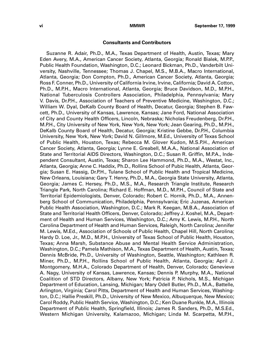#### **Consultants and Contributors**

Suzanne R. Adair, Ph.D., M.A., Texas Department of Health, Austin, Texas; Mary Eden Avery, M.A., American Cancer Society, Atlanta, Georgia; Ronald Bialek, M.P.P., Public Health Foundation, Washington, D.C.; Leonard Bickman, Ph.D., Vanderbilt University, Nashville, Tennessee; Thomas J. Chapel, M.S., M.B.A., Macro International, Atlanta, Georgia; Don Compton, Ph.D., American Cancer Society, Atlanta, Georgia; Ross F. Conner, Ph.D., University of California Irvine, Irvine, California; David A. Cotton, Ph.D., M.P.H., Macro International, Atlanta, Georgia; Bruce Davidson, M.D., M.P.H., National Tuberculosis Controllers Association, Philadelphia, Pennsylvania; Mary V. Davis, Dr.P.H., Association of Teachers of Preventive Medicine, Washington, D.C.; William W. Dyal, DeKalb County Board of Health, Decatur, Georgia; Stephen B. Fawcett, Ph.D., University of Kansas, Lawrence, Kansas; Jane Ford, National Association of City and County Health Officers, Lincoln, Nebraska; Nicholas Freudenberg, Dr.P.H., M.P.H., City University of New York, New York, New York; Jean Gearing, Ph.D., M.P.H., DeKalb County Board of Health, Decatur, Georgia; Kristine Gebbe, Dr.P.H., Columbia University, New York, New York; David N. Gillmore, M.Ed., University of Texas School of Public Health, Houston, Texas; Rebecca M. Glover Kudon, M.S.P.H., American Cancer Society, Atlanta, Georgia; Lynne E. Greabell, M.A.A., National Association of State and Territorial AIDS Directors, Washington, D.C.; Susan R. Griffin, M.P.A., Independent Consultant, Austin, Texas; Sharon Lee Hammond, Ph.D., M.A., Westat, Inc., Atlanta, Georgia; Anne C. Haddix, Ph.D., Rollins School of Pubic Health, Atlanta, Georgia; Susan E. Hassig, Dr.P.H., Tulane School of Public Health and Tropical Medicine, New Orleans, Louisiana; Gary T. Henry, Ph.D., M.A., Georgia State University, Atlanta, Georgia; James C. Hersey, Ph.D., M.S., M.A., Research Triangle Institute, Research Triangle Park, North Carolina; Richard E. Hoffman, M.D., M.P.H., Council of State and Territorial Epidemiologists, Denver, Colorado; Robert C. Hornik, Ph.D., M.A., Annenberg School of Communication, Philadelphia, Pennsylvania; Eric Juzenas, American Public Health Association, Washington, D.C.; Mark R. Keegan, M.B.A., Association of State and Territorial Health Officers, Denver, Colorado; Jeffrey J. Koshel, M.A., Department of Health and Human Services, Washington, D.C.; Amy K. Lewis, M.P.H., North Carolina Department of Health and Human Services, Raleigh, North Carolina; Jennifer M. Lewis, M.Ed., Association of Schools of Public Health, Chapel Hill, North Carolina; Hardy D. Loe, Jr., M.D., M.P.H., University of Texas School of Public Health, Houston, Texas; Anna Marsh, Substance Abuse and Mental Health Service Administration, Washington, D.C.; Pamela Mathison, M.A., Texas Department of Health, Austin, Texas; Dennis McBride, Ph.D., University of Washington, Seattle, Washington; Kathleen R. Miner, Ph.D., M.P.H., Rollins School of Public Health, Atlanta, Georgia; April J. Montgomery, M.H.A., Colorado Department of Health, Denver, Colorado; Genevieve A. Nagy, University of Kansas, Lawrence, Kansas; Dennis P. Murphy, M.A., National Coalition of STD Directors, Albany, New York; Patricia P. Nichols, M.S., Michigan Department of Education, Lansing, Michigan; Mary Odell Butler, Ph.D., M.A., Battelle, Arlington, Virginia; Carol Pitts, Department of Health and Human Services, Washington, D.C.; Hallie Preskill, Ph.D., University of New Mexico, Albuquerque, New Mexico; Carol Roddy, Public Health Service, Washington, D.C.; Ken Duane Runkle, M.A., Illinois Department of Public Health, Springfield, Illinois; James R. Sanders, Ph.D., M.S.Ed., Western Michigan University, Kalamazoo, Michigan; Linda M. Scarpetta, M.P.H.,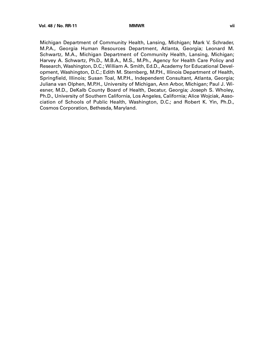Michigan Department of Community Health, Lansing, Michigan; Mark V. Schrader, M.P.A., Georgia Human Resources Department, Atlanta, Georgia; Leonard M. Schwartz, M.A., Michigan Department of Community Health, Lansing, Michigan; Harvey A. Schwartz, Ph.D., M.B.A., M.S., M.Ph., Agency for Health Care Policy and Research, Washington, D.C.; William A. Smith, Ed.D., Academy for Educational Development, Washington, D.C.; Edith M. Sternberg, M.P.H., Illinois Department of Health, Springfield, Illinois; Susan Toal, M.P.H., Independent Consultant, Atlanta, Georgia; Juliana van Olphen, M.P.H., University of Michigan, Ann Arbor, Michigan; Paul J. Wiesner, M.D., DeKalb County Board of Health, Decatur, Georgia; Joseph S. Wholey, Ph.D., University of Southern California, Los Angeles, California; Alice Wojciak, Association of Schools of Public Health, Washington, D.C.; and Robert K. Yin, Ph.D., Cosmos Corporation, Bethesda, Maryland.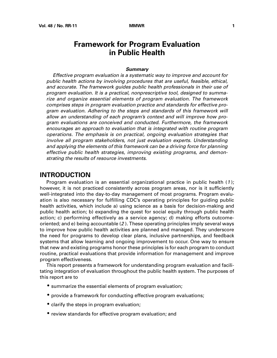# **Framework for Program Evaluation in Public Health**

#### **Summary**

<span id="page-10-0"></span>Effective program evaluation is a systematic way to improve and account for public health actions by involving procedures that are useful, feasible, ethical, and accurate. The framework guides public health professionals in their use of program evaluation. It is a practical, nonprescriptive tool, designed to summarize and organize essential elements of program evaluation. The framework comprises steps in program evaluation practice and standards for effective program evaluation. Adhering to the steps and standards of this framework will allow an understanding of each program's context and will improve how program evaluations are conceived and conducted. Furthermore, the framework encourages an approach to evaluation that is integrated with routine program operations. The emphasis is on practical, ongoing evaluation strategies that involve all program stakeholders, not just evaluation experts. Understanding and applying the elements of this framework can be a driving force for planning effective public health strategies, improving existing programs, and demonstrating the results of resource investments.

### **INTRODUCTION**

Program evaluation is an essential organizational practice in public health  $(1)$ ; however, it is not practiced consistently across program areas, nor is it sufficiently well-integrated into the day-to-day management of most programs. Program evaluation is also necessary for fulfilling CDC's operating principles for guiding public health activities, which include a) using science as a basis for decision-making and public health action; b) expanding the quest for social equity through public health action; c) performing effectively as a service agency; d) making efforts outcomeoriented; and e) being accountable (2 ). These operating principles imply several ways to improve how public health activities are planned and managed. They underscore the need for programs to develop clear plans, inclusive partnerships, and feedback systems that allow learning and ongoing improvement to occur. One way to ensure that new and existing programs honor these principles is for each program to conduct routine, practical evaluations that provide information for management and improve program effectiveness.

This report presents a framework for understanding program evaluation and facilitating integration of evaluation throughout the public health system. The purposes of this report are to

- summarize the essential elements of program evaluation;
- provide a framework for conducting effective program evaluations;
- clarify the steps in program evaluation;
- review standards for effective program evaluation; and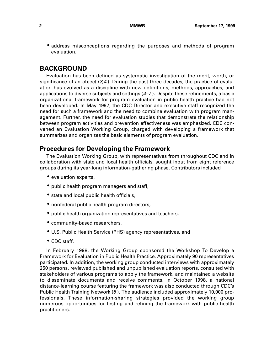<span id="page-11-0"></span>• address misconceptions regarding the purposes and methods of program evaluation.

### **BACKGROUND**

Evaluation has been defined as systematic investigation of the merit, worth, or significance of an object  $(3,4)$ . During the past three decades, the practice of evaluation has evolved as a discipline with new definitions, methods, approaches, and applications to diverse subjects and settings (4–7 ). Despite these refinements, a basic organizational framework for program evaluation in public health practice had not been developed. In May 1997, the CDC Director and executive staff recognized the need for such a framework and the need to combine evaluation with program management. Further, the need for evaluation studies that demonstrate the relationship between program activities and prevention effectiveness was emphasized. CDC convened an Evaluation Working Group, charged with developing a framework that summarizes and organizes the basic elements of program evaluation.

### **Procedures for Developing the Framework**

The Evaluation Working Group, with representatives from throughout CDC and in collaboration with state and local health officials, sought input from eight reference groups during its year-long information-gathering phase. Contributors included

- evaluation experts,
- public health program managers and staff,
- state and local public health officials,
- nonfederal public health program directors,
- public health organization representatives and teachers,
- community-based researchers,
- U.S. Public Health Service (PHS) agency representatives, and
- CDC staff.

In February 1998, the Working Group sponsored the Workshop To Develop a Framework for Evaluation in Public Health Practice. Approximately 90 representatives participated. In addition, the working group conducted interviews with approximately 250 persons, reviewed published and unpublished evaluation reports, consulted with stakeholders of various programs to apply the framework, and maintained a website to disseminate documents and receive comments. In October 1998, a national distance-learning course featuring the framework was also conducted through CDC's Public Health Training Network (8 ). The audience included approximately 10,000 professionals. These information-sharing strategies provided the working group numerous opportunities for testing and refining the framework with public health practitioners.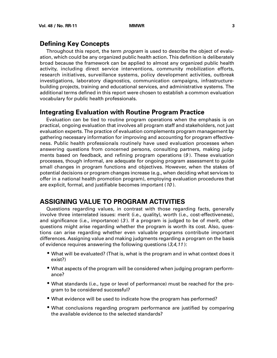# <span id="page-12-0"></span>**Defining Key Concepts**

Throughout this report, the term *program* is used to describe the object of evaluation, which could be any organized public health action. This definition is deliberately broad because the framework can be applied to almost any organized public health activity, including direct service interventions, community mobilization efforts, research initiatives, surveillance systems, policy development activities, outbreak investigations, laboratory diagnostics, communication campaigns, infrastructurebuilding projects, training and educational services, and administrative systems. The additional terms defined in this report were chosen to establish a common evaluation vocabulary for public health professionals.

### **Integrating Evaluation with Routine Program Practice**

Evaluation can be tied to routine program operations when the emphasis is on practical, ongoing evaluation that involves all program staff and stakeholders, not just evaluation experts. The practice of evaluation complements program management by gathering necessary information for improving and accounting for program effectiveness. Public health professionals routinely have used evaluation processes when answering questions from concerned persons, consulting partners, making judgments based on feedback, and refining program operations (9 ). These evaluation processes, though informal, are adequate for ongoing program assessment to guide small changes in program functions and objectives. However, when the stakes of potential decisions or program changes increase (e.g., when deciding what services to offer in a national health promotion program), employing evaluation procedures that are explicit, formal, and justifiable becomes important (10 ).

# **ASSIGNING VALUE TO PROGRAM ACTIVITIES**

Questions regarding values, in contrast with those regarding facts, generally involve three interrelated issues: merit (i.e., quality), worth (i.e., cost-effectiveness), and significance (i.e., importance) (3 ). If a program is judged to be of merit, other questions might arise regarding whether the program is worth its cost. Also, questions can arise regarding whether even valuable programs contribute important differences. Assigning value and making judgments regarding a program on the basis of evidence requires answering the following questions  $(3,4,11)$ :

- What will be evaluated? (That is, what is the program and in what context does it exist?)
- What aspects of the program will be considered when judging program performance?
- What standards (i.e., type or level of performance) must be reached for the program to be considered successful?
- What evidence will be used to indicate how the program has performed?
- What conclusions regarding program performance are justified by comparing the available evidence to the selected standards?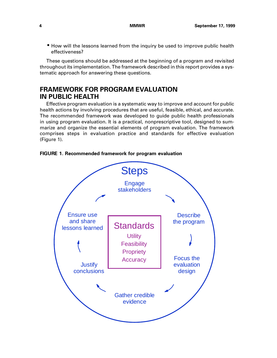<span id="page-13-0"></span>• How will the lessons learned from the inquiry be used to improve public health effectiveness?

These questions should be addressed at the beginning of a program and revisited throughout its implementation. The framework described in this report provides a systematic approach for answering these questions.

# **FRAMEWORK FOR PROGRAM EVALUATION IN PUBLIC HEALTH**

Effective program evaluation is a systematic way to improve and account for public health actions by involving procedures that are useful, feasible, ethical, and accurate. The recommended framework was developed to guide public health professionals in using program evaluation. It is a practical, nonprescriptive tool, designed to summarize and organize the essential elements of program evaluation. The framework comprises steps in evaluation practice and standards for effective evaluation (Figure 1).



**FIGURE 1. Recommended framework for program evaluation**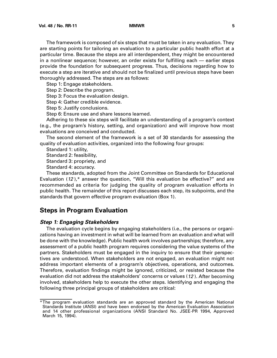<span id="page-14-0"></span>The framework is composed of six steps that must be taken in any evaluation. They are starting points for tailoring an evaluation to a particular public health effort at a particular time. Because the steps are all interdependent, they might be encountered in a nonlinear sequence; however, an order exists for fulfilling each — earlier steps provide the foundation for subsequent progress. Thus, decisions regarding how to execute a step are iterative and should not be finalized until previous steps have been thoroughly addressed. The steps are as follows:

Step 1: Engage stakeholders.

Step 2: Describe the program.

Step 3: Focus the evaluation design.

Step 4: Gather credible evidence.

Step 5: Justify conclusions.

Step 6: Ensure use and share lessons learned.

Adhering to these six steps will facilitate an understanding of a program's context (e.g., the program's history, setting, and organization) and will improve how most evaluations are conceived and conducted.

The second element of the framework is a set of 30 standards for assessing the quality of evaluation activities, organized into the following four groups:

Standard 1: utility,

Standard 2: feasibility,

Standard 3: propriety, and

Standard 4: accuracy.

These standards, adopted from the Joint Committee on Standards for Educational Evaluation  $(12)$ ,\* answer the question, "Will this evaluation be effective?" and are recommended as criteria for judging the quality of program evaluation efforts in public health. The remainder of this report discusses each step, its subpoints, and the standards that govern effective program evaluation (Box 1).

# **Steps in Program Evaluation**

#### **Step 1: Engaging Stakeholders**

The evaluation cycle begins by engaging stakeholders (i.e., the persons or organizations having an investment in what will be learned from an evaluation and what will be done with the knowledge). Public health work involves partnerships; therefore, any assessment of a public health program requires considering the value systems of the partners. Stakeholders must be engaged in the inquiry to ensure that their perspectives are understood. When stakeholders are not engaged, an evaluation might not address important elements of a program's objectives, operations, and outcomes. Therefore, evaluation findings might be ignored, criticized, or resisted because the evaluation did not address the stakeholders' concerns or values (12 ). After becoming involved, stakeholders help to execute the other steps. Identifying and engaging the following three principal groups of stakeholders are critical:

<sup>\*</sup>The program evaluation standards are an approved standard by the American National Standards Institute (ANSI) and have been endorsed by the American Evaluation Association and 14 other professional organizations (ANSI Standard No. JSEE-PR 1994, Approved March 15, 1994).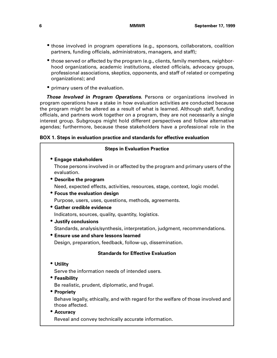- those involved in program operations (e.g., sponsors, collaborators, coalition partners, funding officials, administrators, managers, and staff);
- those served or affected by the program (e.g., clients, family members, neighborhood organizations, academic institutions, elected officials, advocacy groups, professional associations, skeptics, opponents, and staff of related or competing organizations); and
- primary users of the evaluation.

**Those Involved in Program Operations.** Persons or organizations involved in program operations have a stake in how evaluation activities are conducted because the program might be altered as a result of what is learned. Although staff, funding officials, and partners work together on a program, they are not necessarily a single interest group. Subgroups might hold different perspectives and follow alternative agendas; furthermore, because these stakeholders have a professional role in the

### **BOX 1. Steps in evaluation practice and standards for effective evaluation**

| <b>Steps in Evaluation Practice</b>                                                                 |
|-----------------------------------------------------------------------------------------------------|
| <b>• Engage stakeholders</b>                                                                        |
| Those persons involved in or affected by the program and primary users of the<br>evaluation.        |
| • Describe the program                                                                              |
| Need, expected effects, activities, resources, stage, context, logic model.                         |
| • Focus the evaluation design                                                                       |
| Purpose, users, uses, questions, methods, agreements.                                               |
| • Gather credible evidence                                                                          |
| Indicators, sources, quality, quantity, logistics.                                                  |
| • Justify conclusions                                                                               |
| Standards, analysis/synthesis, interpretation, judgment, recommendations.                           |
| • Ensure use and share lessons learned                                                              |
| Design, preparation, feedback, follow-up, dissemination.                                            |
| <b>Standards for Effective Evaluation</b>                                                           |
| • Utility                                                                                           |
| Serve the information needs of intended users.                                                      |
| • Feasibility                                                                                       |
| Be realistic, prudent, diplomatic, and frugal.                                                      |
| • Propriety                                                                                         |
| Behave legally, ethically, and with regard for the welfare of those involved and<br>those affected. |
| • Accuracy                                                                                          |
| Reveal and convey technically accurate information.                                                 |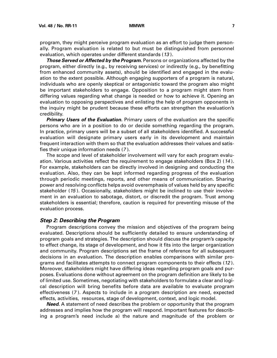<span id="page-16-0"></span>program, they might perceive program evaluation as an effort to judge them personally. Program evaluation is related to but must be distinguished from personnel evaluation, which operates under different standards (13).

**Those Served or Affected by the Program.** Persons or organizations affected by the program, either directly (e.g., by receiving services) or indirectly (e.g., by benefitting from enhanced community assets), should be identified and engaged in the evaluation to the extent possible. Although engaging supporters of a program is natural, individuals who are openly skeptical or antagonistic toward the program also might be important stakeholders to engage. Opposition to a program might stem from differing values regarding what change is needed or how to achieve it. Opening an evaluation to opposing perspectives and enlisting the help of program opponents in the inquiry might be prudent because these efforts can strengthen the evaluation's credibility.

**Primary Users of the Evaluation.** Primary users of the evaluation are the specific persons who are in a position to do or decide something regarding the program. In practice, primary users will be a subset of all stakeholders identified. A successful evaluation will designate primary users early in its development and maintain frequent interaction with them so that the evaluation addresses their values and satisfies their unique information needs (7 ).

The scope and level of stakeholder involvement will vary for each program evaluation. Various activities reflect the requirement to engage stakeholders (Box 2) (14 ). For example, stakeholders can be directly involved in designing and conducting the evaluation. Also, they can be kept informed regarding progress of the evaluation through periodic meetings, reports, and other means of communication. Sharing power and resolving conflicts helps avoid overemphasis of values held by any specific stakeholder (15 ). Occasionally, stakeholders might be inclined to use their involvement in an evaluation to sabotage, distort, or discredit the program. Trust among stakeholders is essential; therefore, caution is required for preventing misuse of the evaluation process.

#### **Step 2: Describing the Program**

Program descriptions convey the mission and objectives of the program being evaluated. Descriptions should be sufficiently detailed to ensure understanding of program goals and strategies. The description should discuss the program's capacity to effect change, its stage of development, and how it fits into the larger organization and community. Program descriptions set the frame of reference for all subsequent decisions in an evaluation. The description enables comparisons with similar programs and facilitates attempts to connect program components to their effects (12 ). Moreover, stakeholders might have differing ideas regarding program goals and purposes. Evaluations done without agreement on the program definition are likely to be of limited use. Sometimes, negotiating with stakeholders to formulate a clear and logical description will bring benefits before data are available to evaluate program effectiveness (7 ). Aspects to include in a program description are need, expected effects, activities, resources, stage of development, context, and logic model.

**Need.** A statement of need describes the problem or opportunity that the program addresses and implies how the program will respond. Important features for describing a program's need include a) the nature and magnitude of the problem or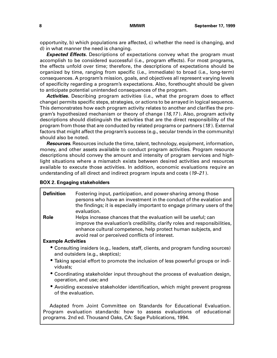opportunity, b) which populations are affected, c) whether the need is changing, and d) in what manner the need is changing.

**Expected Effects.** Descriptions of expectations convey what the program must accomplish to be considered successful (i.e., program effects). For most programs, the effects unfold over time; therefore, the descriptions of expectations should be organized by time, ranging from specific (i.e., immediate) to broad (i.e., long-term) consequences. A program's mission, goals, and objectives all represent varying levels of specificity regarding a program's expectations. Also, forethought should be given to anticipate potential unintended consequences of the program.

**Activities.** Describing program activities (i.e., what the program does to effect change) permits specific steps, strategies, or actions to be arrayed in logical sequence. This demonstrates how each program activity relates to another and clarifies the program's hypothesized mechanism or theory of change (16,17). Also, program activity descriptions should distinguish the activities that are the direct responsibility of the program from those that are conducted by related programs or partners (18 ). External factors that might affect the program's success (e.g., secular trends in the community) should also be noted.

**Resources.** Resources include the time, talent, technology, equipment, information, money, and other assets available to conduct program activities. Program resource descriptions should convey the amount and intensity of program services and highlight situations where a mismatch exists between desired activities and resources available to execute those activities. In addition, economic evaluations require an understanding of all direct and indirect program inputs and costs (19–21 ).

#### **BOX 2. Engaging stakeholders**

| <b>Definition</b>         | Fostering input, participation, and power-sharing among those<br>persons who have an investment in the conduct of the evalation and<br>the findings; it is especially important to engage primary users of the<br>evaluation.                                  |
|---------------------------|----------------------------------------------------------------------------------------------------------------------------------------------------------------------------------------------------------------------------------------------------------------|
| Role                      | Helps increase chances that the evaluation will be useful; can<br>improve the evaluation's credibility, clarify roles and responsibilities,<br>enhance cultural competence, help protect human subjects, and<br>avoid real or perceived conflicts of interest. |
| <b>Example Activities</b> |                                                                                                                                                                                                                                                                |
|                           | • Consulting insiders (e.g., leaders, staff, clients, and program funding sources)<br>and outsiders (e.g., skeptics);                                                                                                                                          |
| viduals;                  | • Taking special effort to promote the inclusion of less powerful groups or indi-                                                                                                                                                                              |
|                           | • Coordinating stakeholder input throughout the process of evaluation design,<br>operation, and use; and                                                                                                                                                       |
|                           | • Avoiding excessive stakeholder identification, which might prevent progress<br>of the evaluation.                                                                                                                                                            |
|                           | Adapted from Joint Committee on Standards for Educational Evaluation.<br>Program evaluation standards: how to assess evaluations of educational                                                                                                                |

programs. 2nd ed. Thousand Oaks, CA: Sage Publications, 1994.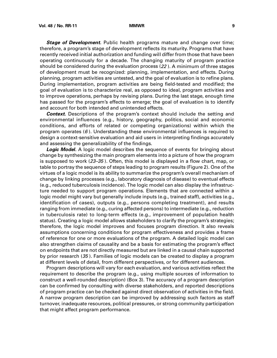**Stage of Development.** Public health programs mature and change over time; therefore, a program's stage of development reflects its maturity. Programs that have recently received initial authorization and funding will differ from those that have been operating continuously for a decade. The changing maturity of program practice should be considered during the evaluation process (22 ). A minimum of three stages of development must be recognized: planning, implementation, and effects. During planning, program activities are untested, and the goal of evaluation is to refine plans. During implementation, program activities are being field-tested and modified; the goal of evaluation is to characterize real, as opposed to ideal, program activities and to improve operations, perhaps by revising plans. During the last stage, enough time has passed for the program's effects to emerge; the goal of evaluation is to identify and account for both intended and unintended effects.

**Context.** Descriptions of the program's context should include the setting and environmental influences (e.g., history, geography, politics, social and economic conditions, and efforts of related or competing organizations) within which the program operates  $(6)$ . Understanding these environmental influences is required to design a context-sensitive evaluation and aid users in interpreting findings accurately and assessing the generalizability of the findings.

**Logic Model.** A logic model describes the sequence of events for bringing about change by synthesizing the main program elements into a picture of how the program is supposed to work (23–35 ). Often, this model is displayed in a flow chart, map, or table to portray the sequence of steps leading to program results (Figure 2). One of the virtues of a logic model is its ability to summarize the program's overall mechanism of change by linking processes (e.g., laboratory diagnosis of disease) to eventual effects (e.g., reduced tuberculosis incidence). The logic model can also display the infrastructure needed to support program operations. Elements that are connected within a logic model might vary but generally include inputs (e.g., trained staff), activities (e.g., identification of cases), outputs (e.g., persons completing treatment), and results ranging from immediate (e.g., curing affected persons) to intermediate (e.g., reduction in tuberculosis rate) to long-term effects (e.g., improvement of population health status). Creating a logic model allows stakeholders to clarify the program's strategies; therefore, the logic model improves and focuses program direction. It also reveals assumptions concerning conditions for program effectiveness and provides a frame of reference for one or more evaluations of the program. A detailed logic model can also strengthen claims of causality and be a basis for estimating the program's effect on endpoints that are not directly measured but are linked in a causal chain supported by prior research (35 ). Families of logic models can be created to display a program at different levels of detail, from different perspectives, or for different audiences.

Program descriptions will vary for each evaluation, and various activities reflect the requirement to describe the program (e.g., using multiple sources of information to construct a well-rounded description) (Box 3). The accuracy of a program description can be confirmed by consulting with diverse stakeholders, and reported descriptions of program practice can be checked against direct observation of activities in the field. A narrow program description can be improved by addressing such factors as staff turnover, inadequate resources, political pressures, or strong community participation that might affect program performance.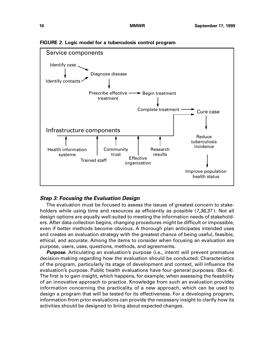

<span id="page-19-0"></span>**FIGURE 2. Logic model for a tuberculosis control program**

### **Step 3: Focusing the Evaluation Design**

The evaluation must be focused to assess the issues of greatest concern to stakeholders while using time and resources as efficiently as possible (7,36,37). Not all design options are equally well-suited to meeting the information needs of stakeholders. After data collection begins, changing procedures might be difficult or impossible, even if better methods become obvious. A thorough plan anticipates intended uses and creates an evaluation strategy with the greatest chance of being useful, feasible, ethical, and accurate. Among the items to consider when focusing an evaluation are purpose, users, uses, questions, methods, and agreements.

**Purpose.** Articulating an evaluation's purpose (i.e., intent) will prevent premature decision-making regarding how the evaluation should be conducted. Characteristics of the program, particularly its stage of development and context, will influence the evaluation's purpose. Public health evaluations have four general purposes. (Box 4). The first is to gain insight, which happens, for example, when assessing the feasibility of an innovative approach to practice. Knowledge from such an evaluation provides information concerning the practicality of a new approach, which can be used to design a program that will be tested for its effectiveness. For a developing program, information from prior evaluations can provide the necessary insight to clarify how its activities should be designed to bring about expected changes.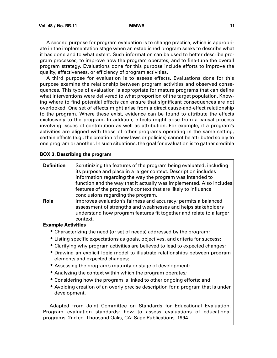A second purpose for program evaluation is to change practice, which is appropriate in the implementation stage when an established program seeks to describe what it has done and to what extent. Such information can be used to better describe program processes, to improve how the program operates, and to fine-tune the overall program strategy. Evaluations done for this purpose include efforts to improve the quality, effectiveness, or efficiency of program activities.

A third purpose for evaluation is to assess effects. Evaluations done for this purpose examine the relationship between program activities and observed consequences. This type of evaluation is appropriate for mature programs that can define what interventions were delivered to what proportion of the target population. Knowing where to find potential effects can ensure that significant consequences are not overlooked. One set of effects might arise from a direct cause-and-effect relationship to the program. Where these exist, evidence can be found to attribute the effects exclusively to the program. In addition, effects might arise from a causal process involving issues of contribution as well as attribution. For example, if a program's activities are aligned with those of other programs operating in the same setting, certain effects (e.g., the creation of new laws or policies) cannot be attributed solely to one program or another. In such situations, the goal for evaluation is to gather credible

#### **BOX 3. Describing the program**

| <b>Definition</b><br>Role | Scrutinizing the features of the program being evaluated, including<br>its purpose and place in a larger context. Description includes<br>information regarding the way the program was intended to<br>function and the way that it actually was implemented. Also includes<br>features of the program's context that are likely to influence<br>conclusions regarding the program.<br>Improves evaluation's fairness and accuracy; permits a balanced<br>assessment of strengths and weaknesses and helps stakeholders<br>understand how program features fit together and relate to a larger<br>context. |
|---------------------------|------------------------------------------------------------------------------------------------------------------------------------------------------------------------------------------------------------------------------------------------------------------------------------------------------------------------------------------------------------------------------------------------------------------------------------------------------------------------------------------------------------------------------------------------------------------------------------------------------------|
| <b>Example Activities</b> |                                                                                                                                                                                                                                                                                                                                                                                                                                                                                                                                                                                                            |
|                           | • Characterizing the need (or set of needs) addressed by the program;                                                                                                                                                                                                                                                                                                                                                                                                                                                                                                                                      |
|                           | • Listing specific expectations as goals, objectives, and criteria for success;                                                                                                                                                                                                                                                                                                                                                                                                                                                                                                                            |
|                           | • Clarifying why program activities are believed to lead to expected changes;                                                                                                                                                                                                                                                                                                                                                                                                                                                                                                                              |
|                           | • Drawing an explicit logic model to illustrate relationships between program<br>elements and expected changes;                                                                                                                                                                                                                                                                                                                                                                                                                                                                                            |
|                           | • Assessing the program's maturity or stage of development;                                                                                                                                                                                                                                                                                                                                                                                                                                                                                                                                                |
|                           | • Analyzing the context within which the program operates;                                                                                                                                                                                                                                                                                                                                                                                                                                                                                                                                                 |
|                           | • Considering how the program is linked to other ongoing efforts; and                                                                                                                                                                                                                                                                                                                                                                                                                                                                                                                                      |
| development.              | • Avoiding creation of an overly precise description for a program that is under                                                                                                                                                                                                                                                                                                                                                                                                                                                                                                                           |

Adapted from Joint Committee on Standards for Educational Evaluation. Program evaluation standards: how to assess evaluations of educational programs. 2nd ed. Thousand Oaks, CA: Sage Publications, 1994.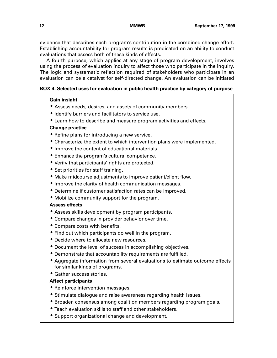evidence that describes each program's contribution in the combined change effort. Establishing accountability for program results is predicated on an ability to conduct evaluations that assess both of these kinds of effects.

A fourth purpose, which applies at any stage of program development, involves using the process of evaluation inquiry to affect those who participate in the inquiry. The logic and systematic reflection required of stakeholders who participate in an evaluation can be a catalyst for self-directed change. An evaluation can be initiated

#### **BOX 4. Selected uses for evaluation in public health practice by category of purpose**

#### **Gain insight**

- Assess needs, desires, and assets of community members.
- Identify barriers and facilitators to service use.
- Learn how to describe and measure program activities and effects.

#### **Change practice**

- Refine plans for introducing a new service.
- Characterize the extent to which intervention plans were implemented.
- Improve the content of educational materials.
- Enhance the program's cultural competence.
- Verify that participants' rights are protected.
- Set priorities for staff training.
- Make midcourse adjustments to improve patient/client flow.
- Improve the clarity of health communication messages.
- Determine if customer satisfaction rates can be improved.
- Mobilize community support for the program.

### **Assess effects**

- Assess skills development by program participants.
- Compare changes in provider behavior over time.
- Compare costs with benefits.
- Find out which participants do well in the program.
- Decide where to allocate new resources.
- Document the level of success in accomplishing objectives.
- Demonstrate that accountability requirements are fulfilled.
- Aggregate information from several evaluations to estimate outcome effects for similar kinds of programs.
- Gather success stories.

### **Affect participants**

- Reinforce intervention messages.
- Stimulate dialogue and raise awareness regarding health issues.
- Broaden consensus among coalition members regarding program goals.
- Teach evaluation skills to staff and other stakeholders.
- Support organizational change and development.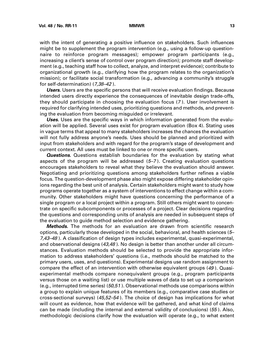with the intent of generating a positive influence on stakeholders. Such influences might be to supplement the program intervention (e.g., using a follow-up questionnaire to reinforce program messages); empower program participants (e.g., increasing a client's sense of control over program direction); promote staff development (e.g., teaching staff how to collect, analyze, and interpret evidence); contribute to organizational growth (e.g., clarifying how the program relates to the organization's mission); or facilitate social transformation (e.g., advancing a community's struggle for self-determination) (7,38–42 ).

**Users.** Users are the specific persons that will receive evaluation findings. Because intended users directly experience the consequences of inevitable design trade-offs, they should participate in choosing the evaluation focus (7 ). User involvement is required for clarifying intended uses, prioritizing questions and methods, and preventing the evaluation from becoming misguided or irrelevant.

**Uses.** Uses are the specific ways in which information generated from the evaluation will be applied. Several uses exist for program evaluation (Box 4). Stating uses in vague terms that appeal to many stakeholders increases the chances the evaluation will not fully address anyone's needs. Uses should be planned and prioritized with input from stakeholders and with regard for the program's stage of development and current context. All uses must be linked to one or more specific users.

**Questions.** Questions establish boundaries for the evaluation by stating what aspects of the program will be addressed (5–7 ). Creating evaluation questions encourages stakeholders to reveal what they believe the evaluation should answer. Negotiating and prioritizing questions among stakeholders further refines a viable focus. The question-development phase also might expose differing stakeholder opinions regarding the best unit of analysis. Certain stakeholders might want to study how programs operate together as a system of interventions to effect change within a community. Other stakeholders might have questions concerning the performance of a single program or a local project within a program. Still others might want to concentrate on specific subcomponents or processes of a project. Clear decisions regarding the questions and corresponding units of analysis are needed in subsequent steps of the evaluation to guide method selection and evidence gathering.

**Methods.** The methods for an evaluation are drawn from scientific research options, particularly those developed in the social, behavioral, and health sciences (5– 7,43–48 ). A classification of design types includes experimental, quasi-experimental, and observational designs (43,48). No design is better than another under all circumstances. Evaluation methods should be selected to provide the appropriate information to address stakeholders' questions (i.e., methods should be matched to the primary users, uses, and questions). Experimental designs use random assignment to compare the effect of an intervention with otherwise equivalent groups (49 ). Quasiexperimental methods compare nonequivalent groups (e.g., program participants versus those on a waiting list) or use multiple waves of data to set up a comparison (e.g., interrupted time series) (50,51). Observational methods use comparisons within a group to explain unique features of its members (e.g., comparative case studies or cross-sectional surveys) (45,52–54 ). The choice of design has implications for what will count as evidence, how that evidence will be gathered, and what kind of claims can be made (including the internal and external validity of conclusions) (55 ). Also, methodologic decisions clarify how the evaluation will operate (e.g., to what extent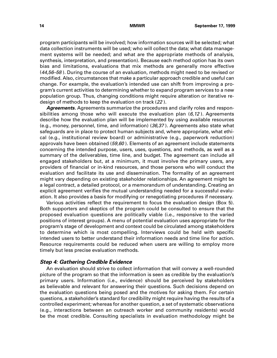<span id="page-23-0"></span>program participants will be involved; how information sources will be selected; what data collection instruments will be used; who will collect the data; what data management systems will be needed; and what are the appropriate methods of analysis, synthesis, interpretation, and presentation). Because each method option has its own bias and limitations, evaluations that mix methods are generally more effective  $(44,56-58)$ . During the course of an evaluation, methods might need to be revised or modified. Also, circumstances that make a particular approach credible and useful can change. For example, the evaluation's intended use can shift from improving a program's current activities to determining whether to expand program services to a new population group. Thus, changing conditions might require alteration or iterative redesign of methods to keep the evaluation on track (22 ).

**Agreements.** Agreements summarize the procedures and clarify roles and responsibilities among those who will execute the evaluation plan  $(6,12)$ . Agreements describe how the evaluation plan will be implemented by using available resources (e.g., money, personnel, time, and information) (36,37 ). Agreements also state what safeguards are in place to protect human subjects and, where appropriate, what ethical (e.g., institutional review board) or administrative (e.g., paperwork reduction) approvals have been obtained  $(59,60)$ . Elements of an agreement include statements concerning the intended purpose, users, uses, questions, and methods, as well as a summary of the deliverables, time line, and budget. The agreement can include all engaged stakeholders but, at a minimum, it must involve the primary users, any providers of financial or in-kind resources, and those persons who will conduct the evaluation and facilitate its use and dissemination. The formality of an agreement might vary depending on existing stakeholder relationships. An agreement might be a legal contract, a detailed protocol, or a memorandum of understanding. Creating an explicit agreement verifies the mutual understanding needed for a successful evaluation. It also provides a basis for modifying or renegotiating procedures if necessary.

Various activities reflect the requirement to focus the evaluation design (Box 5). Both supporters and skeptics of the program could be consulted to ensure that the proposed evaluation questions are politically viable (i.e., responsive to the varied positions of interest groups). A menu of potential evaluation uses appropriate for the program's stage of development and context could be circulated among stakeholders to determine which is most compelling. Interviews could be held with specific intended users to better understand their information needs and time line for action. Resource requirements could be reduced when users are willing to employ more timely but less precise evaluation methods.

#### **Step 4: Gathering Credible Evidence**

An evaluation should strive to collect information that will convey a well-rounded picture of the program so that the information is seen as credible by the evaluation's primary users. Information (i.e., evidence) should be perceived by stakeholders as believable and relevant for answering their questions. Such decisions depend on the evaluation questions being posed and the motives for asking them. For certain questions, a stakeholder's standard for credibility might require having the results of a controlled experiment; whereas for another question, a set of systematic observations (e.g., interactions between an outreach worker and community residents) would be the most credible. Consulting specialists in evaluation methodology might be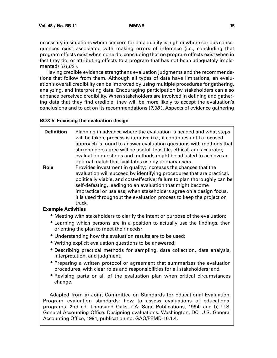necessary in situations where concern for data quality is high or where serious consequences exist associated with making errors of inference (i.e., concluding that program effects exist when none do, concluding that no program effects exist when in fact they do, or attributing effects to a program that has not been adequately implemented) (61,62 ).

Having credible evidence strengthens evaluation judgments and the recommendations that follow from them. Although all types of data have limitations, an evaluation's overall credibility can be improved by using multiple procedures for gathering, analyzing, and interpreting data. Encouraging participation by stakeholders can also enhance perceived credibility. When stakeholders are involved in defining and gathering data that they find credible, they will be more likely to accept the evaluation's conclusions and to act on its recommendations (7,38 ). Aspects of evidence gathering

#### **BOX 5. Focusing the evaluation design**

| <b>Definition</b><br><b>Role</b> | Planning in advance where the evaluation is headed and what steps<br>will be taken; process is iterative (i.e., it continues until a focused<br>approach is found to answer evaluation questions with methods that<br>stakeholders agree will be useful, feasible, ethical, and accurate);<br>evaluation questions and methods might be adjusted to achieve an<br>optimal match that facilitates use by primary users.<br>Provides investment in quality; increases the chances that the<br>evaluation will succeed by identifying procedures that are practical,<br>politically viable, and cost-effective; failure to plan thoroughly can be<br>self-defeating, leading to an evaluation that might become<br>impractical or useless; when stakeholders agree on a design focus,<br>it is used throughout the evaluation process to keep the project on<br>track. |
|----------------------------------|---------------------------------------------------------------------------------------------------------------------------------------------------------------------------------------------------------------------------------------------------------------------------------------------------------------------------------------------------------------------------------------------------------------------------------------------------------------------------------------------------------------------------------------------------------------------------------------------------------------------------------------------------------------------------------------------------------------------------------------------------------------------------------------------------------------------------------------------------------------------|
| <b>Example Activities</b>        |                                                                                                                                                                                                                                                                                                                                                                                                                                                                                                                                                                                                                                                                                                                                                                                                                                                                     |
|                                  | • Meeting with stakeholders to clarify the intent or purpose of the evaluation;<br>• Learning which persons are in a position to actually use the findings, then<br>orienting the plan to meet their needs;                                                                                                                                                                                                                                                                                                                                                                                                                                                                                                                                                                                                                                                         |
|                                  | • Understanding how the evaluation results are to be used;                                                                                                                                                                                                                                                                                                                                                                                                                                                                                                                                                                                                                                                                                                                                                                                                          |
|                                  | • Writing explicit evaluation questions to be answered;                                                                                                                                                                                                                                                                                                                                                                                                                                                                                                                                                                                                                                                                                                                                                                                                             |
|                                  | • Describing practical methods for sampling, data collection, data analysis,<br>interpretation, and judgment;                                                                                                                                                                                                                                                                                                                                                                                                                                                                                                                                                                                                                                                                                                                                                       |
| change.                          | • Preparing a written protocol or agreement that summarizes the evaluation<br>procedures, with clear roles and responsibilities for all stakeholders; and<br>• Revising parts or all of the evaluation plan when critical circumstances                                                                                                                                                                                                                                                                                                                                                                                                                                                                                                                                                                                                                             |
|                                  | Adapted from a) Joint Committee on Standards for Educational Evaluation.<br>Program evaluation standards: how to assess evaluations of educational<br>programs. 2nd ed. Thousand Oaks, CA: Sage Publications, 1994; and b) U.S.<br>General Accounting Office. Designing evaluations. Washington, DC: U.S. General<br>Accounting Office, 1991; publication no. GAO/PEMD-10.1.4.                                                                                                                                                                                                                                                                                                                                                                                                                                                                                      |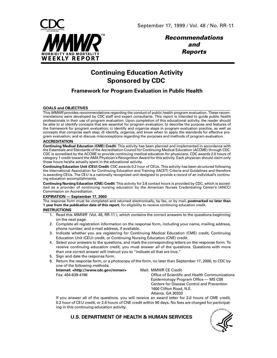

**Recommendations and Reports**

# **Continuing Education Activity Sponsored by CDC**

## **Framework for Program Evaluation in Public Health**

#### **GOALS and OBJECTIVES**

This MMWR provides recommendations regarding the conduct of public health program evaluation. These recommendations were developed by CDC staff and expert consultants. This report is intended to guide public health professionals in their use of program evaluation. Upon completion of this educational activity, the reader should be able to a) identify concepts that are essential for program evaluation; b) describe the purpose and features of the framework for program evaluation; c) identify and organize steps in program evaluation practice, as well as concepts that comprise each step; d) identify, organize, and know when to apply the standards for effective program evaluation; and e) discuss misconceptions regarding the purposes and methods of program evaluation.

#### **ACCREDITATION**

**Continuing Medical Education (CME) Credit:** This activity has been planned and implemented in accordance with the Essentials and Standards of the Accreditation Council for Continuing Medical Education (ACCME) through CDC. CDC is accredited by the ACCME to provide continuing medical education for physicians. CDC awards 2.0 hours of category 1 credit toward the AMA Physician's Recognition Award for this activity. Each physician should claim only those hours he/she actually spent in the educational activity.

**Continuing Education Unit (CEU) Credit:** CDC awards 0.2 hour of CEUs. This activity has been structured following the International Association for Continuing Education and Training (IACET) Criteria and Guidelines and therefore is awarding CEUs. The CEU is a nationally recognized unit designed to provide a record of an individual's continuing education accomplishments.

**Continuing Nursing Education (CNE) Credit:** This activity for 2.6 contact hours is provided by CDC, which is accredited as a provider of continuing nursing education by the American Nurses Credentialing Center's (ANCC) Commission on Accreditation.

#### **EXPIRATION — September 17, 2000**

The response form must be completed and returned electronically, by fax, or by mail, **postmarked no later than 1 year from the publication date of this report**, for eligibility to receive continuing education credit.

#### **INSTRUCTIONS**

- 1. Read this MMWR (Vol. 48, RR-11), which contains the correct answers to the questions beginning on the next page.
- 2. Complete all registration information on the response form, including your name, mailing address, phone number, and e-mail address, if available.
- 3. Indicate whether you are registering for Continuing Medical Education (CME) credit, Continuing Education Unit (CEU) credit, or Continuing Nursing Education (CNE) credit.
- 4. Select your answers to the questions, and mark the corresponding letters on the response form. To receive continuing education credit, you must answer all of the questions. Questions with more than one correct answer will instruct you to "indicate all that are true."
- 5. Sign and date the response form.
- 6. Return the response form, or a photocopy of the form, no later than September 17, 2000, to CDC by one of the following methods:

**Internet: <http://www.cdc.gov/mmwr>** Mail: MMWR CE Credit Fax: 404-639-4198

Office of Scientific and Health Communications Epidemiology Program Office — MS C08 Centers for Disease Control and Prevention 1600 Clifton Road, N.E. Atlanta, GA 30333

If you answer all of the questions, you will receive an award letter for 2.0 hours of CME credit, 0.2 hour of CEU credit, or 2.6 hours of CNE credit within 90 days. No fees are charged for participating in this continuing education activity.

**U.S. DEPARTMENT OF HEALTH & HUMAN SERVICES**

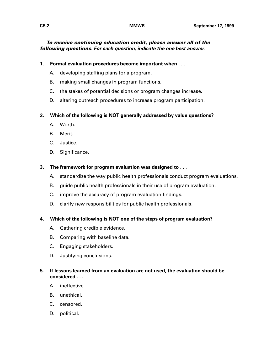### **To receive continuing education credit, please answer all of the following questions. For each question, indicate the one best answer.**

- **1. Formal evaluation procedures become important when . . .**
	- A. developing staffing plans for a program.
	- B. making small changes in program functions.
	- C. the stakes of potential decisions or program changes increase.
	- D. altering outreach procedures to increase program participation.

### **2. Which of the following is NOT generally addressed by value questions?**

- A. Worth.
- B. Merit.
- C. Justice.
- D. Significance.

### **3. The framework for program evaluation was designed to . . .**

- A. standardize the way public health professionals conduct program evaluations.
- B. guide public health professionals in their use of program evaluation.
- C. improve the accuracy of program evaluation findings.
- D. clarify new responsibilities for public health professionals.

### **4. Which of the following is NOT one of the steps of program evaluation?**

- A. Gathering credible evidence.
- B. Comparing with baseline data.
- C. Engaging stakeholders.
- D. Justifying conclusions.

### **5. If lessons learned from an evaluation are not used, the evaluation should be considered . . .**

- A. ineffective.
- B. unethical.
- C. censored.
- D. political.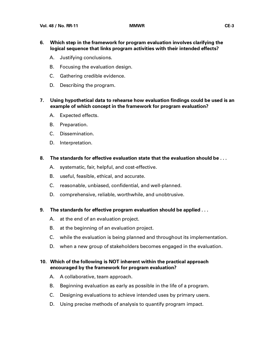- **6. Which step in the framework for program evaluation involves clarifying the logical sequence that links program activities with their intended effects?**
	- A. Justifying conclusions.
	- B. Focusing the evaluation design.
	- C. Gathering credible evidence.
	- D. Describing the program.
- **7. Using hypothetical data to rehearse how evaluation findings could be used is an example of which concept in the framework for program evaluation?**
	- A. Expected effects.
	- B. Preparation.
	- C. Dissemination.
	- D. Interpretation.
- **8. The standards for effective evaluation state that the evaluation should be . . .**
	- A. systematic, fair, helpful, and cost-effective.
	- B. useful, feasible, ethical, and accurate.
	- C. reasonable, unbiased, confidential, and well-planned.
	- D. comprehensive, reliable, worthwhile, and unobtrusive.
- **9. The standards for effective program evaluation should be applied . . .**
	- A. at the end of an evaluation project.
	- B. at the beginning of an evaluation project.
	- C. while the evaluation is being planned and throughout its implementation.
	- D. when a new group of stakeholders becomes engaged in the evaluation.

### **10. Which of the following is NOT inherent within the practical approach encouraged by the framework for program evaluation?**

- A. A collaborative, team approach.
- B. Beginning evaluation as early as possible in the life of a program.
- C. Designing evaluations to achieve intended uses by primary users.
- D. Using precise methods of analysis to quantify program impact.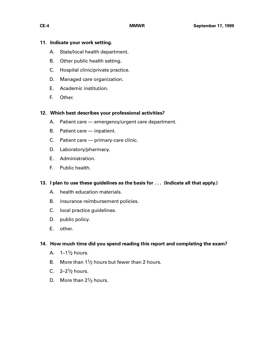### **11. Indicate your work setting.**

- A. State/local health department.
- B. Other public health setting.
- C. Hospital clinic/private practice.
- D. Managed care organization.
- E. Academic institution.
- F. Other.

### **12. Which best describes your professional activities?**

- A. Patient care emergency/urgent care department.
- B. Patient care inpatient.
- C. Patient care primary-care clinic.
- D. Laboratory/pharmacy.
- E. Administration.
- F. Public health.

### **13. I plan to use these guidelines as the basis for . . . (Indicate all that apply.)**

- A. health education materials.
- B. insurance reimbursement policies.
- C. local practice guidelines.
- D. public policy.
- E. other.

### **14. How much time did you spend reading this report and completing the exam?**

- A.  $1-1\frac{1}{2}$  hours.
- B. More than  $1\frac{1}{2}$  hours but fewer than 2 hours.
- C.  $2-2\frac{1}{2}$  hours.
- D. More than  $2\frac{1}{2}$  hours.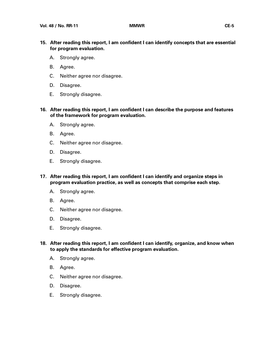- **15. After reading this report, I am confident I can identify concepts that are essential for program evaluation.**
	- A. Strongly agree.
	- B. Agree.
	- C. Neither agree nor disagree.
	- D. Disagree.
	- E. Strongly disagree.
- **16. After reading this report, I am confident I can describe the purpose and features of the framework for program evaluation.**
	- A. Strongly agree.
	- B. Agree.
	- C. Neither agree nor disagree.
	- D. Disagree.
	- E. Strongly disagree.
- **17. After reading this report, I am confident I can identify and organize steps in program evaluation practice, as well as concepts that comprise each step.**
	- A. Strongly agree.
	- B. Agree.
	- C. Neither agree nor disagree.
	- D. Disagree.
	- E. Strongly disagree.
- **18. After reading this report, I am confident I can identify, organize, and know when to apply the standards for effective program evaluation.**
	- A. Strongly agree.
	- B. Agree.
	- C. Neither agree nor disagree.
	- D. Disagree.
	- E. Strongly disagree.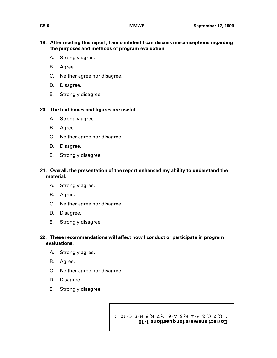### **19. After reading this report, I am confident I can discuss misconceptions regarding the purposes and methods of program evaluation.**

- A. Strongly agree.
- B. Agree.
- C. Neither agree nor disagree.
- D. Disagree.
- E. Strongly disagree.

### **20. The text boxes and figures are useful.**

- A. Strongly agree.
- B. Agree.
- C. Neither agree nor disagree.
- D. Disagree.
- E. Strongly disagree.

### **21. Overall, the presentation of the report enhanced my ability to understand the material.**

- A. Strongly agree.
- B. Agree.
- C. Neither agree nor disagree.
- D. Disagree.
- E. Strongly disagree.

### **22. These recommendations will affect how I conduct or participate in program evaluations.**

- A. Strongly agree.
- B. Agree.
- C. Neither agree nor disagree.
- D. Disagree.
- E. Strongly disagree.

**Correct answers for questions 1-10** 1. C; 2. C; 3. B; 4. B; 5. A; 6. D; 7. B; 8. B; 9. C; 10. D.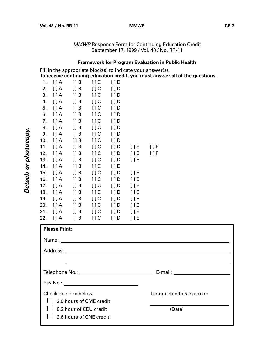MMWR Response Form for Continuing Education Credit September 17, 1999 / Vol. 48 / No. RR-11

### **Framework for Program Evaluation in Public Health**

Fill in the appropriate block(s) to indicate your answer(s). **To receive continuing education credit, you must answer all of the questions.**

| 1.  | $[$ $]$ A   | $[ \ ] B$   | $[$ $]$ $C$       | [ ] D       |             |       |
|-----|-------------|-------------|-------------------|-------------|-------------|-------|
| 2.  | $[$ $]$ A   | [ ] B       | $\left[\right]$ C | $[$ $]$ $D$ |             |       |
| 3.  | $[$ $]$ A   | $[ \ ] B$   | $[$ $]$ $C$       | [ ] D       |             |       |
| 4.  | $[$ $]$ A   | $[$ $]$ B   | $[$ $]$ $C$       | [ ] D       |             |       |
| 5.  | $[$ $]$ A   | $[ \ ] B$   | $[$ $]$ $C$       | [ ] D       |             |       |
| 6.  | $[$ $]$ A   | [ ] B       | $\left[\right]$ C | [ ] D       |             |       |
| 7.  | $[$ $]$ A   | $[ \ ] B$   | $[$ $]$ $C$       | [ ] D       |             |       |
| 8.  | $[$ $]$ A   | $[$ $]$ B   | $[$ $]$ $C$       | [ ] D       |             |       |
| 9.  | $[$ $]$ A   | $[ \ ] B$   | $[ \ ]C$          | [ ] D       |             |       |
| 10. | $[$ $]$ A   | [ ] B       | $[$ $]$ $C$       | $[ \ ] D$   |             |       |
| 11. | $[$ $]$ A   | $[$ $]$ $B$ | [ ] C             | $[$ $]$ $D$ | $[$ $]$ $E$ | [ ] F |
| 12. | $[$ $]$ A   | $[ \ ] B$   | $[ \ ]C$          | $[$ $]$ D   | $[$ $]$ $E$ | [ ] F |
| 13. | $[$ $]$ A   | $[ \ ] B$   | $[$ $]$ $C$       | $[ \ ] D$   | $[$ $]$ $E$ |       |
| 14. | $[$ $]$ A   | $[ \ ] B$   | [ ] C             | $[$ $]$ $D$ |             |       |
| 15. | $[$ $]$ $A$ | $[$ $]$ B   | $[$ $]$ $C$       | $[$ $]$ $D$ | $[$ $]$ E   |       |
| 16. | $[$ $]$ A   | $[ \ ] B$   | $[$ $]$ $C$       | $[$ $]$ D   | $[$ $]$ $E$ |       |
| 17. | $[$ $]$ A   | $[ \ ] B$   | $\left[\right]$ C | $[ \ ] D$   | [ ] E       |       |
| 18. | $[$ $]$ A   | $[$ $]$ $B$ | $[$ $]$ $C$       | $[$ $]$ $D$ | $[$ $]$ $E$ |       |
| 19. | $[$ $]$ A   | $[ \ ] B$   | $[$ $]$ $C$       | $[$ $]$ $D$ | $[$ $]$ $E$ |       |
| 20. | $[$ $]$ A   | $[ \ ] B$   | $\left[\right]$ C | $[$ $]$ D   | $[$ $]$ $E$ |       |
| 21. | $[$ $]$ A   | $[ \ ] B$   | $[$ $]$ $C$       | $[$ $]$ $D$ | [ ]E        |       |
| 22. | $[$ $]$ A   | $[ \ ] B$   | $[ \ ] C$         | [ ] D       | [ ] E       |       |

| <b>Please Print:</b>                            |                          |
|-------------------------------------------------|--------------------------|
| Name:                                           |                          |
|                                                 |                          |
|                                                 |                          |
|                                                 |                          |
|                                                 |                          |
| Check one box below:<br>2.0 hours of CME credit | I completed this exam on |
| 0.2 hour of CEU credit                          | (Date)                   |
| 2.6 hours of CNE credit                         |                          |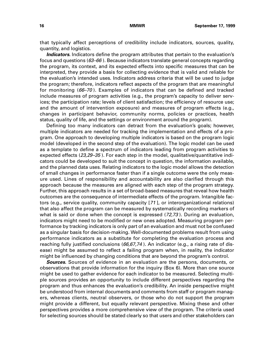that typically affect perceptions of credibility include indicators, sources, quality, quantity, and logistics.

**Indicators.** Indicators define the program attributes that pertain to the evaluation's focus and questions  $(63–66)$ . Because indicators translate general concepts regarding the program, its context, and its expected effects into specific measures that can be interpreted, they provide a basis for collecting evidence that is valid and reliable for the evaluation's intended uses. Indicators address criteria that will be used to judge the program; therefore, indicators reflect aspects of the program that are meaningful for monitoring (66–70 ). Examples of indicators that can be defined and tracked include measures of program activities (e.g., the program's capacity to deliver services; the participation rate; levels of client satisfaction; the efficiency of resource use; and the amount of intervention exposure) and measures of program effects (e.g., changes in participant behavior, community norms, policies or practices, health status, quality of life, and the settings or environment around the program).

Defining too many indicators can detract from the evaluation's goals; however, multiple indicators are needed for tracking the implementation and effects of a program. One approach to developing multiple indicators is based on the program logic model (developed in the second step of the evaluation). The logic model can be used as a template to define a spectrum of indicators leading from program activities to expected effects (23,29–35). For each step in the model, qualitative/quantitative indicators could be developed to suit the concept in question, the information available, and the planned data uses. Relating indicators to the logic model allows the detection of small changes in performance faster than if a single outcome were the only measure used. Lines of responsibility and accountability are also clarified through this approach because the measures are aligned with each step of the program strategy. Further, this approach results in a set of broad-based measures that reveal how health outcomes are the consequence of intermediate effects of the program. Intangible factors (e.g., service quality, community capacity [71 ], or interorganizational relations) that also affect the program can be measured by systematically recording markers of what is said or done when the concept is expressed (72,73 ). During an evaluation, indicators might need to be modified or new ones adopted. Measuring program performance by tracking indicators is only part of an evaluation and must not be confused as a singular basis for decision-making. Well-documented problems result from using performance indicators as a substitute for completing the evaluation process and reaching fully justified conclusions  $(66, 67, 74)$ . An indicator (e.g., a rising rate of disease) might be assumed to reflect a failing program when, in reality, the indicator might be influenced by changing conditions that are beyond the program's control.

**Sources.** Sources of evidence in an evaluation are the persons, documents, or observations that provide information for the inquiry (Box 6). More than one source might be used to gather evidence for each indicator to be measured. Selecting multiple sources provides an opportunity to include different perspectives regarding the program and thus enhances the evaluation's credibility. An inside perspective might be understood from internal documents and comments from staff or program managers, whereas clients, neutral observers, or those who do not support the program might provide a different, but equally relevant perspective. Mixing these and other perspectives provides a more comprehensive view of the program. The criteria used for selecting sources should be stated clearly so that users and other stakeholders can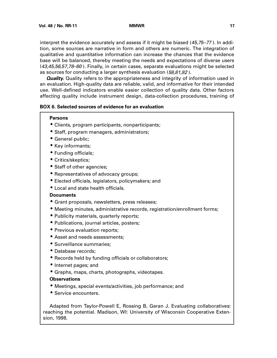interpret the evidence accurately and assess if it might be biased (45,75–77 ). In addition, some sources are narrative in form and others are numeric. The integration of qualitative and quantitative information can increase the chances that the evidence base will be balanced, thereby meeting the needs and expectations of diverse users (43,45,56,57,78–80 ). Finally, in certain cases, separate evaluations might be selected as sources for conducting a larger synthesis evaluation (58,81,82).

*Quality.* Quality refers to the appropriateness and integrity of information used in an evaluation. High-quality data are reliable, valid, and informative for their intended use. Well-defined indicators enable easier collection of quality data. Other factors affecting quality include instrument design, data-collection procedures, training of

### **BOX 6. Selected sources of evidence for an evaluation**

#### **Persons**

- Clients, program participants, nonparticipants;
- Staff, program managers, administrators;
- General public;
- Key informants;
- Funding officials;
- Critics/skeptics;
- Staff of other agencies;
- Representatives of advocacy groups;
- Elected officials, legislators, policymakers; and
- Local and state health officials.

#### **Documents**

- Grant proposals, newsletters, press releases;
- Meeting minutes, administrative records, registration/enrollment forms;
- Publicity materials, quarterly reports;
- Publications, journal articles, posters;
- Previous evaluation reports;
- Asset and needs assessments:
- Surveillance summaries;
- Database records;
- Records held by funding officials or collaborators;
- Internet pages; and
- Graphs, maps, charts, photographs, videotapes.

#### **Observations**

- Meetings, special events/activities, job performance; and
- Service encounters.

Adapted from Taylor-Powell E, Rossing B, Geran J. Evaluating collaboratives: reaching the potential. Madison, WI: University of Wisconsin Cooperative Extension, 1998.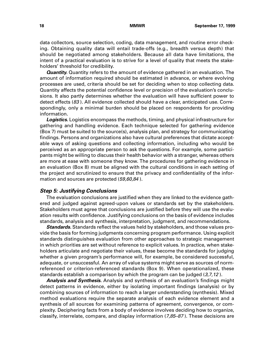<span id="page-34-0"></span>data collectors, source selection, coding, data management, and routine error checking. Obtaining quality data will entail trade-offs (e.g., breadth versus depth) that should be negotiated among stakeholders. Because all data have limitations, the intent of a practical evaluation is to strive for a level of quality that meets the stakeholders' threshold for credibility.

**Quantity.** Quantity refers to the amount of evidence gathered in an evaluation. The amount of information required should be estimated in advance, or where evolving processes are used, criteria should be set for deciding when to stop collecting data. Quantity affects the potential confidence level or precision of the evaluation's conclusions. It also partly determines whether the evaluation will have sufficient power to detect effects (83 ). All evidence collected should have a clear, anticipated use. Correspondingly, only a minimal burden should be placed on respondents for providing information.

**Logistics.** Logistics encompass the methods, timing, and physical infrastructure for gathering and handling evidence. Each technique selected for gathering evidence (Box 7) must be suited to the source(s), analysis plan, and strategy for communicating findings. Persons and organizations also have cultural preferences that dictate acceptable ways of asking questions and collecting information, including who would be perceived as an appropriate person to ask the questions. For example, some participants might be willing to discuss their health behavior with a stranger, whereas others are more at ease with someone they know. The procedures for gathering evidence in an evaluation (Box 8) must be aligned with the cultural conditions in each setting of the project and scrutinized to ensure that the privacy and confidentiality of the information and sources are protected (59,60,84).

#### **Step 5: Justifying Conclusions**

The evaluation conclusions are justified when they are linked to the evidence gathered and judged against agreed-upon values or standards set by the stakeholders. Stakeholders must agree that conclusions are justified before they will use the evaluation results with confidence. Justifying conclusions on the basis of evidence includes standards, analysis and synthesis, interpretation, judgment, and recommendations.

**Standards.** Standards reflect the values held by stakeholders, and those values provide the basis for forming judgments concerning program performance. Using explicit standards distinguishes evaluation from other approaches to strategic management in which priorities are set without reference to explicit values. In practice, when stakeholders articulate and negotiate their values, these become the standards for judging whether a given program's performance will, for example, be considered successful, adequate, or unsuccessful. An array of value systems might serve as sources of normreferenced or criterion-referenced standards (Box 9). When operationalized, these standards establish a comparison by which the program can be judged (3,7,12).

**Analysis and Synthesis.** Analysis and synthesis of an evaluation's findings might detect patterns in evidence, either by isolating important findings (analysis) or by combining sources of information to reach a larger understanding (synthesis). Mixed method evaluations require the separate analysis of each evidence element and a synthesis of all sources for examining patterns of agreement, convergence, or complexity. Deciphering facts from a body of evidence involves deciding how to organize, classify, interrelate, compare, and display information  $(7,85-87)$ . These decisions are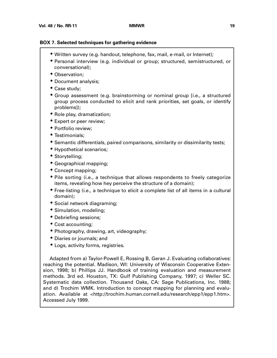#### **BOX 7. Selected techniques for gathering evidence**

- Written survey (e.g. handout, telephone, fax, mail, e-mail, or Internet);
- Personal interview (e.g. individual or group; structured, semistructured, or conversational);
- Observation;
- Document analysis;
- Case study;
- Group assessment (e.g. brainstorming or nominal group [i.e., a structured group process conducted to elicit and rank priorities, set goals, or identify problems]);
- Role play, dramatization;
- Expert or peer review;
- Portfolio review;
- Testimonials;
- Semantic differentials, paired comparisons, similarity or dissimilarity tests;
- Hypothetical scenarios;
- Storytelling;
- Geographical mapping;
- Concept mapping;
- Pile sorting (i.e., a technique that allows respondents to freely categorize items, revealing how hey perceive the structure of a domain);
- Free-listing (i.e., a technique to elicit a complete list of all items in a cultural domain);
- Social network diagraming;
- Simulation, modeling;
- Debriefing sessions;
- Cost accounting;
- Photography, drawing, art, videography;
- Diaries or journals; and
- Logs, activity forms, registries.

Adapted from a) Taylor-Powell E, Rossing B, Geran J. Evaluating collaboratives: reaching the potential. Madison, WI: University of Wisconsin Cooperative Extension, 1998; b) Phillips JJ. Handbook of training evaluation and measurement methods. 3rd ed. Houston, TX: Gulf Publishing Company, 1997; c) Weller SC. Systematic data collection. Thousand Oaks, CA: Sage Publications, Inc. 1988; and d) Trochim WMK. Introduction to concept mapping for planning and evaluation. Available at <http://trochim.human.cornell.edu/research/epp1/epp1.htm>. Accessed July 1999.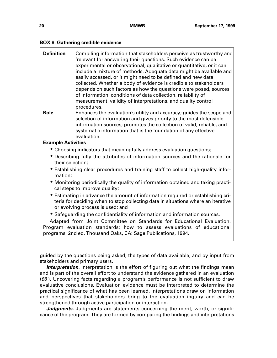| <b>BOX 8. Gathering credible evidence</b> |  |  |  |  |  |
|-------------------------------------------|--|--|--|--|--|
|-------------------------------------------|--|--|--|--|--|

| <b>Definition</b>                        | Compiling information that stakeholders perceive as trustworthy and<br>'relevant for answering their questions. Such evidence can be<br>experimental or observational, qualitative or quantitative, or it can<br>include a mixture of methods. Adequate data might be available and<br>easily accessed, or it might need to be defined and new data<br>collected. Whether a body of evidence is credible to stakeholders<br>depends on such factors as how the questions were posed, sources<br>of information, conditions of data collection, reliability of<br>measurement, validity of interpretations, and quality control<br>procedures. |
|------------------------------------------|-----------------------------------------------------------------------------------------------------------------------------------------------------------------------------------------------------------------------------------------------------------------------------------------------------------------------------------------------------------------------------------------------------------------------------------------------------------------------------------------------------------------------------------------------------------------------------------------------------------------------------------------------|
| <b>Role</b><br><b>Example Activities</b> | Enhances the evaluation's utility and accuracy; guides the scope and<br>selection of information and gives priority to the most defensible<br>information sources; promotes the collection of valid, reliable, and<br>systematic information that is the foundation of any effective<br>evaluation.                                                                                                                                                                                                                                                                                                                                           |
|                                          | • Choosing indicators that meaningfully address evaluation questions;                                                                                                                                                                                                                                                                                                                                                                                                                                                                                                                                                                         |
| their selection;                         | • Describing fully the attributes of information sources and the rationale for                                                                                                                                                                                                                                                                                                                                                                                                                                                                                                                                                                |
| mation;                                  | • Establishing clear procedures and training staff to collect high-quality infor-                                                                                                                                                                                                                                                                                                                                                                                                                                                                                                                                                             |
|                                          | • Monitoring periodically the quality of information obtained and taking practi-<br>cal steps to improve quality;                                                                                                                                                                                                                                                                                                                                                                                                                                                                                                                             |
|                                          | Estimating in advance the amount of information required or establishing cri-<br>teria for deciding when to stop collecting data in situations where an iterative<br>or evolving process is used; and                                                                                                                                                                                                                                                                                                                                                                                                                                         |
|                                          | • Safeguarding the confidentiality of information and information sources.                                                                                                                                                                                                                                                                                                                                                                                                                                                                                                                                                                    |
|                                          | Adapted from Joint Committee on Standards for Educational Evaluation.<br>Program evaluation standards: how to assess evaluations of educational<br>programs. 2nd ed. Thousand Oaks, CA: Sage Publications, 1994.                                                                                                                                                                                                                                                                                                                                                                                                                              |
|                                          |                                                                                                                                                                                                                                                                                                                                                                                                                                                                                                                                                                                                                                               |

guided by the questions being asked, the types of data available, and by input from stakeholders and primary users.

**Interpretation.** Interpretation is the effort of figuring out what the findings mean and is part of the overall effort to understand the evidence gathered in an evaluation (88 ). Uncovering facts regarding a program's performance is not sufficient to draw evaluative conclusions. Evaluation evidence must be interpreted to determine the practical significance of what has been learned. Interpretations draw on information and perspectives that stakeholders bring to the evaluation inquiry and can be strengthened through active participation or interaction.

*Judgments.* Judgments are statements concerning the merit, worth, or significance of the program. They are formed by comparing the findings and interpretations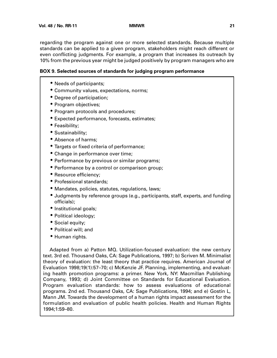regarding the program against one or more selected standards. Because multiple standards can be applied to a given program, stakeholders might reach different or even conflicting judgments. For example, a program that increases its outreach by 10% from the previous year might be judged positively by program managers who are

#### **BOX 9. Selected sources of standards for judging program performance**

- Needs of participants;
- Community values, expectations, norms;
- Degree of participation;
- Program objectives;
- Program protocols and procedures;
- Expected performance, forecasts, estimates;
- Feasibility;
- Sustainability;
- Absence of harms;
- Targets or fixed criteria of performance;
- Change in performance over time;
- Performance by previous or similar programs;
- Performance by a control or comparison group;
- Resource efficiency;
- Professional standards;
- Mandates, policies, statutes, regulations, laws;
- Judgments by reference groups (e.g., participants, staff, experts, and funding officials);
- Institutional goals;
- Political ideology;
- Social equity;
- Political will; and
- Human rights.

Adapted from a) Patton MQ. Utilization-focused evaluation: the new century text. 3rd ed. Thousand Oaks, CA: Sage Publications, 1997; b) Scriven M. Minimalist theory of evaluation: the least theory that practice requires. American Journal of Evaluation 1998;19(1):57–70; c) McKenzie JF. Planning, implementing, and evaluating health promotion programs: a primer. New York, NY: Macmillan Publishing Company, 1993; d) Joint Committee on Standards for Educational Evaluation. Program evaluation standards: how to assess evaluations of educational programs. 2nd ed. Thousand Oaks, CA: Sage Publications, 1994; and e) Gostin L, Mann JM. Towards the development of a human rights impact assessment for the formulation and evaluation of public health policies. Health and Human Rights 1994;1:59–80.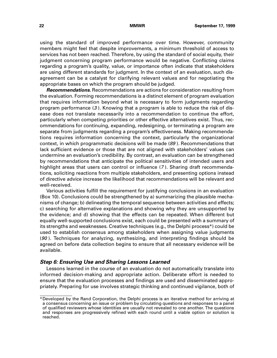<span id="page-38-0"></span>using the standard of improved performance over time. However, community members might feel that despite improvements, a minimum threshold of access to services has not been reached. Therefore, by using the standard of social equity, their judgment concerning program performance would be negative. Conflicting claims regarding a program's quality, value, or importance often indicate that stakeholders are using different standards for judgment. In the context of an evaluation, such disagreement can be a catalyst for clarifying relevant values and for negotiating the appropriate bases on which the program should be judged.

**Recommendations.** Recommendations are actions for consideration resulting from the evaluation. Forming recommendations is a distinct element of program evaluation that requires information beyond what is necessary to form judgments regarding program performance (3 ). Knowing that a program is able to reduce the risk of disease does not translate necessarily into a recommendation to continue the effort, particularly when competing priorities or other effective alternatives exist. Thus, recommendations for continuing, expanding, redesigning, or terminating a program are separate from judgments regarding a program's effectiveness. Making recommendations requires information concerning the context, particularly the organizational context, in which programmatic decisions will be made (89 ). Recommendations that lack sufficient evidence or those that are not aligned with stakeholders' values can undermine an evaluation's credibility. By contrast, an evaluation can be strengthened by recommendations that anticipate the political sensitivities of intended users and highlight areas that users can control or influence (7). Sharing draft recommendations, soliciting reactions from multiple stakeholders, and presenting options instead of directive advice increase the likelihood that recommendations will be relevant and well-received.

Various activities fulfill the requirement for justifying conclusions in an evaluation (Box 10). Conclusions could be strengthened by a) summarizing the plausible mechanisms of change; b) delineating the temporal sequence between activities and effects; c) searching for alternative explanations and showing why they are unsupported by the evidence; and d) showing that the effects can be repeated. When different but equally well-supported conclusions exist, each could be presented with a summary of its strengths and weaknesses. Creative techniques (e.g., the Delphi process\*) could be used to establish consensus among stakeholders when assigning value judgments (90). Techniques for analyzing, synthesizing, and interpreting findings should be agreed on before data collection begins to ensure that all necessary evidence will be available.

#### **Step 6: Ensuring Use and Sharing Lessons Learned**

Lessons learned in the course of an evaluation do not automatically translate into informed decision-making and appropriate action. Deliberate effort is needed to ensure that the evaluation processes and findings are used and disseminated appropriately. Preparing for use involves strategic thinking and continued vigilance, both of

<sup>\*</sup>Developed by the Rand Corporation, the Delphi process is an iterative method for arriving at a consensus concerning an issue or problem by circulating questions and responses to a panel of qualified reviewers whose identities are usually not revealed to one another. The questions and responses are progressively refined with each round until a viable option or solution is reached.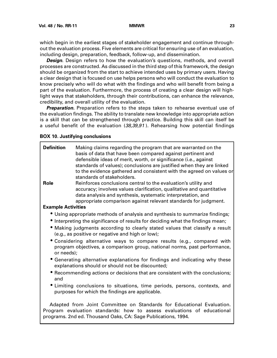which begin in the earliest stages of stakeholder engagement and continue throughout the evaluation process. Five elements are critical for ensuring use of an evaluation, including design, preparation, feedback, follow-up, and dissemination.

**Design**. Design refers to how the evaluation's questions, methods, and overall processes are constructed. As discussed in the third step of this framework, the design should be organized from the start to achieve intended uses by primary users. Having a clear design that is focused on use helps persons who will conduct the evaluation to know precisely who will do what with the findings and who will benefit from being a part of the evaluation. Furthermore, the process of creating a clear design will highlight ways that stakeholders, through their contributions, can enhance the relevance, credibility, and overall utility of the evaluation.

**Preparation.** Preparation refers to the steps taken to rehearse eventual use of the evaluation findings. The ability to translate new knowledge into appropriate action is a skill that can be strengthened through practice. Building this skill can itself be a useful benefit of the evaluation (38,39,91). Rehearsing how potential findings

#### **BOX 10. Justifying conclusions**

| <b>Definition</b><br><b>Role</b> | Making claims regarding the program that are warranted on the<br>basis of data that have been compared against pertinent and<br>defensible ideas of merit, worth, or significance (i.e., against<br>standards of values); conclusions are justified when they are linked<br>to the evidence gathered and consistent with the agreed on values or<br>standards of stakeholders.<br>Reinforces conclusions central to the evaluation's utility and |
|----------------------------------|--------------------------------------------------------------------------------------------------------------------------------------------------------------------------------------------------------------------------------------------------------------------------------------------------------------------------------------------------------------------------------------------------------------------------------------------------|
|                                  | accuracy; involves values clarification, qualitative and quantitative<br>data analysis and synthesis, systematic interpretation, and                                                                                                                                                                                                                                                                                                             |
|                                  | appropriate comparison against relevant standards for judgment.                                                                                                                                                                                                                                                                                                                                                                                  |
| <b>Example Activities</b>        |                                                                                                                                                                                                                                                                                                                                                                                                                                                  |
|                                  | • Using appropriate methods of analysis and synthesis to summarize findings;                                                                                                                                                                                                                                                                                                                                                                     |
|                                  | • Interpreting the significance of results for deciding what the findings mean;                                                                                                                                                                                                                                                                                                                                                                  |
|                                  | . Making judgments according to clearly stated values that classify a result<br>(e.g., as positive or negative and high or low);                                                                                                                                                                                                                                                                                                                 |
| or needs);                       | • Considering alternative ways to compare results (e.g., compared with<br>program objectives, a comparison group, national norms, past performance,                                                                                                                                                                                                                                                                                              |
|                                  | • Generating alternative explanations for findings and indicating why these<br>explanations should or should not be discounted;                                                                                                                                                                                                                                                                                                                  |
| and                              | Recommending actions or decisions that are consistent with the conclusions;                                                                                                                                                                                                                                                                                                                                                                      |
|                                  | • Limiting conclusions to situations, time periods, persons, contexts, and<br>purposes for which the findings are applicable.                                                                                                                                                                                                                                                                                                                    |
|                                  | Adapted from Joint Committee on Standards for Educational Evaluation.<br>Program evaluation standards: how to assess evaluations of educational<br>programs. 2nd ed. Thousand Oaks, CA: Sage Publications, 1994.                                                                                                                                                                                                                                 |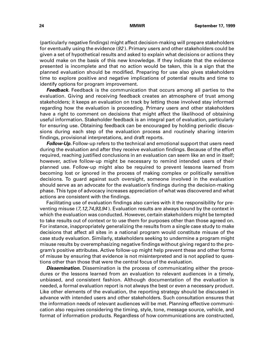(particularly negative findings) might affect decision-making will prepare stakeholders for eventually using the evidence  $(92)$ . Primary users and other stakeholders could be given a set of hypothetical results and asked to explain what decisions or actions they would make on the basis of this new knowledge. If they indicate that the evidence presented is incomplete and that no action would be taken, this is a sign that the planned evaluation should be modified. Preparing for use also gives stakeholders time to explore positive and negative implications of potential results and time to identify options for program improvement.

**Feedback.** Feedback is the communication that occurs among all parties to the evaluation. Giving and receiving feedback creates an atmosphere of trust among stakeholders; it keeps an evaluation on track by letting those involved stay informed regarding how the evaluation is proceeding. Primary users and other stakeholders have a right to comment on decisions that might affect the likelihood of obtaining useful information. Stakeholder feedback is an integral part of evaluation, particularly for ensuring use. Obtaining feedback can be encouraged by holding periodic discussions during each step of the evaluation process and routinely sharing interim findings, provisional interpretations, and draft reports.

**Follow-Up.** Follow-up refers to the technical and emotional support that users need during the evaluation and after they receive evaluation findings. Because of the effort required, reaching justified conclusions in an evaluation can seem like an end in itself; however, active follow-up might be necessary to remind intended users of their planned use. Follow-up might also be required to prevent lessons learned from becoming lost or ignored in the process of making complex or politically sensitive decisions. To guard against such oversight, someone involved in the evaluation should serve as an advocate for the evaluation's findings during the decision-making phase. This type of advocacy increases appreciation of what was discovered and what actions are consistent with the findings.

Facilitating use of evaluation findings also carries with it the responsibility for preventing misuse (7,12,74,93,94 ). Evaluation results are always bound by the context in which the evaluation was conducted. However, certain stakeholders might be tempted to take results out of context or to use them for purposes other than those agreed on. For instance, inappropriately generalizing the results from a single case study to make decisions that affect all sites in a national program would constitute misuse of the case study evaluation. Similarly, stakeholders seeking to undermine a program might misuse results by overemphasizing negative findings without giving regard to the program's positive attributes. Active follow-up might help prevent these and other forms of misuse by ensuring that evidence is not misinterpreted and is not applied to questions other than those that were the central focus of the evaluation.

**Dissemination.** Dissemination is the process of communicating either the procedures or the lessons learned from an evaluation to relevant audiences in a timely, unbiased, and consistent fashion. Although documentation of the evaluation is needed, a formal evaluation report is not always the best or even a necessary product. Like other elements of the evaluation, the reporting strategy should be discussed in advance with intended users and other stakeholders. Such consultation ensures that the information needs of relevant audiences will be met. Planning effective communication also requires considering the timing, style, tone, message source, vehicle, and format of information products. Regardless of how communications are constructed,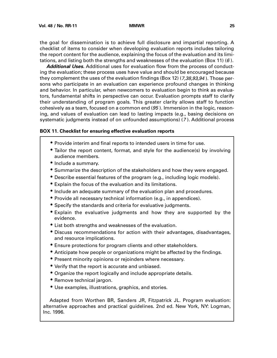the goal for dissemination is to achieve full disclosure and impartial reporting. A checklist of items to consider when developing evaluation reports includes tailoring the report content for the audience, explaining the focus of the evaluation and its limitations, and listing both the strengths and weaknesses of the evaluation (Box 11) (6).

**Additional Uses.** Additional uses for evaluation flow from the process of conducting the evaluation; these process uses have value and should be encouraged because they complement the uses of the evaluation findings (Box 12) (7,38,93,94). Those persons who participate in an evaluation can experience profound changes in thinking and behavior. In particular, when newcomers to evaluation begin to think as evaluators, fundamental shifts in perspective can occur. Evaluation prompts staff to clarify their understanding of program goals. This greater clarity allows staff to function cohesively as a team, focused on a common end (95 ). Immersion in the logic, reasoning, and values of evaluation can lead to lasting impacts (e.g., basing decisions on systematic judgments instead of on unfounded assumptions) (7 ). Additional process

#### **BOX 11. Checklist for ensuring effective evaluation reports**

- Provide interim and final reports to intended users in time for use.
- Tailor the report content, format, and style for the audience(s) by involving audience members.
- Include a summary.
- Summarize the description of the stakeholders and how they were engaged.
- Describe essential features of the program (e.g., including logic models).
- Explain the focus of the evaluation and its limitations.
- Include an adequate summary of the evaluation plan and procedures.
- Provide all necessary technical information (e.g., in appendices).
- Specify the standards and criteria for evaluative judgments.
- Explain the evaluative judgments and how they are supported by the evidence.
- List both strengths and weaknesses of the evaluation.
- Discuss recommendations for action with their advantages, disadvantages, and resource implications.
- Ensure protections for program clients and other stakeholders.
- Anticipate how people or organizations might be affected by the findings.
- Present minority opinions or rejoinders where necessary.
- Verify that the report is accurate and unbiased.
- Organize the report logically and include appropriate details.
- Remove technical jargon.
- Use examples, illustrations, graphics, and stories.

Adapted from Worthen BR, Sanders JR, Fitzpatrick JL. Program evaluation: alternative approaches and practical guidelines. 2nd ed. New York, NY: Logman, Inc. 1996.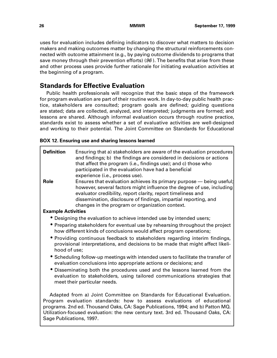<span id="page-42-0"></span>uses for evaluation includes defining indicators to discover what matters to decision makers and making outcomes matter by changing the structural reinforcements connected with outcome attainment (e.g., by paying outcome dividends to programs that save money through their prevention efforts) ( $96$ ). The benefits that arise from these and other process uses provide further rationale for initiating evaluation activities at the beginning of a program.

# **Standards for Effective Evaluation**

Public health professionals will recognize that the basic steps of the framework for program evaluation are part of their routine work. In day-to-day public health practice, stakeholders are consulted; program goals are defined; guiding questions are stated; data are collected, analyzed, and interpreted; judgments are formed; and lessons are shared. Although informal evaluation occurs through routine practice, standards exist to assess whether a set of evaluative activities are well-designed and working to their potential. The Joint Committee on Standards for Educational

### **BOX 12. Ensuring use and sharing lessons learned**

| <b>Definition</b><br><b>Role</b>                                                                                                                       | Ensuring that a) stakeholders are aware of the evaluation procedures<br>and findings; b) the findings are considered in decisions or actions<br>that affect the program (i.e., findings use); and c) those who<br>participated in the evaluation have had a beneficial<br>experience (i.e., process use).<br>Ensures that evaluation achieves its primary purpose – being useful;<br>however, several factors might influence the degree of use, including<br>evaluator credibility, report clarity, report timeliness and |  |  |
|--------------------------------------------------------------------------------------------------------------------------------------------------------|----------------------------------------------------------------------------------------------------------------------------------------------------------------------------------------------------------------------------------------------------------------------------------------------------------------------------------------------------------------------------------------------------------------------------------------------------------------------------------------------------------------------------|--|--|
|                                                                                                                                                        | dissemination, disclosure of findings, impartial reporting, and<br>changes in the program or organization context.                                                                                                                                                                                                                                                                                                                                                                                                         |  |  |
| <b>Example Activities</b>                                                                                                                              |                                                                                                                                                                                                                                                                                                                                                                                                                                                                                                                            |  |  |
| • Designing the evaluation to achieve intended use by intended users;                                                                                  |                                                                                                                                                                                                                                                                                                                                                                                                                                                                                                                            |  |  |
| • Preparing stakeholders for eventual use by rehearsing throughout the project<br>how different kinds of conclusions would affect program operations;  |                                                                                                                                                                                                                                                                                                                                                                                                                                                                                                                            |  |  |
| hood of use;                                                                                                                                           | • Providing continuous feedback to stakeholders regarding interim findings,<br>provisional interpretations, and decisions to be made that might affect likeli-                                                                                                                                                                                                                                                                                                                                                             |  |  |
| • Scheduling follow-up meetings with intended users to facilitate the transfer of<br>evaluation conclusions into appropriate actions or decisions; and |                                                                                                                                                                                                                                                                                                                                                                                                                                                                                                                            |  |  |
|                                                                                                                                                        | • Disseminating both the procedures used and the lessons learned from the<br>evaluation to stakeholders, using tailored communications strategies that<br>meet their particular needs.                                                                                                                                                                                                                                                                                                                                     |  |  |
|                                                                                                                                                        | Adapted from a) Joint Committee on Standards for Educational Evaluation.<br>Program evaluation standards: how to assess evaluations of educational<br>programs. 2nd ed. Thousand Oaks, CA: Sage Publications, 1994; and b) Patton MQ.<br>Utilization-focused evaluation: the new century text. 3rd ed. Thousand Oaks, CA:                                                                                                                                                                                                  |  |  |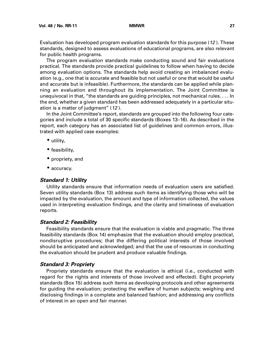<span id="page-43-0"></span>Evaluation has developed program evaluation standards for this purpose (12 ). These standards, designed to assess evaluations of educational programs, are also relevant for public health programs.

The program evaluation standards make conducting sound and fair evaluations practical. The standards provide practical guidelines to follow when having to decide among evaluation options. The standards help avoid creating an imbalanced evaluation (e.g., one that is accurate and feasible but not useful or one that would be useful and accurate but is infeasible). Furthermore, the standards can be applied while planning an evaluation and throughout its implementation. The Joint Committee is unequivocal in that, "the standards are guiding principles, not mechanical rules. . . . In the end, whether a given standard has been addressed adequately in a particular situation is a matter of judgment" (12 ).

In the Joint Committee's report, standards are grouped into the following four categories and include a total of 30 specific standards (Boxes 13–16). As described in the report, each category has an associated list of guidelines and common errors, illustrated with applied case examples:

- utility,
- feasibility,
- propriety, and
- accuracy.

#### **Standard 1: Utility**

Utility standards ensure that information needs of evaluation users are satisfied. Seven utility standards (Box 13) address such items as identifying those who will be impacted by the evaluation, the amount and type of information collected, the values used in interpreting evaluation findings, and the clarity and timeliness of evaluation reports.

#### **Standard 2: Feasibility**

Feasibility standards ensure that the evaluation is viable and pragmatic. The three feasibility standards (Box 14) emphasize that the evaluation should employ practical, nondisruptive procedures; that the differing political interests of those involved should be anticipated and acknowledged; and that the use of resources in conducting the evaluation should be prudent and produce valuable findings.

#### **Standard 3: Propriety**

Propriety standards ensure that the evaluation is ethical (i.e., conducted with regard for the rights and interests of those involved and effected). Eight propriety standards (Box 15) address such items as developing protocols and other agreements for guiding the evaluation; protecting the welfare of human subjects; weighing and disclosing findings in a complete and balanced fashion; and addressing any conflicts of interest in an open and fair manner.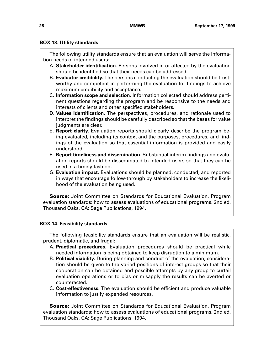### **BOX 13. Utility standards**

The following utility standards ensure that an evaluation will serve the information needs of intended users:

- A. **Stakeholder identification.** Persons involved in or affected by the evaluation should be identified so that their needs can be addressed.
- B. **Evaluator credibility.** The persons conducting the evaluation should be trustworthy and competent in performing the evaluation for findings to achieve maximum credibility and acceptance.
- C. **Information scope and selection.** Information collected should address pertinent questions regarding the program and be responsive to the needs and interests of clients and other specified stakeholders.
- D. **Values identification.** The perspectives, procedures, and rationale used to interpret the findings should be carefully described so that the bases for value judgments are clear.
- E. **Report clarity.** Evaluation reports should clearly describe the program being evaluated, including its context and the purposes, procedures, and findings of the evaluation so that essential information is provided and easily understood.
- F. **Report timeliness and dissemination.** Substantial interim findings and evaluation reports should be disseminated to intended users so that they can be used in a timely fashion.
- G. **Evaluation impact.** Evaluations should be planned, conducted, and reported in ways that encourage follow-through by stakeholders to increase the likelihood of the evaluation being used.

**Source:** Joint Committee on Standards for Educational Evaluation. Program evaluation standards: how to assess evaluations of educational programs. 2nd ed. Thousand Oaks, CA: Sage Publications, 1994.

### **BOX 14. Feasibility standards**

The following feasibility standards ensure that an evaluation will be realistic, prudent, diplomatic, and frugal:

- A. **Practical procedures.** Evaluation procedures should be practical while needed information is being obtained to keep disruption to a minimum.
- B. **Political viability.** During planning and conduct of the evaluation, consideration should be given to the varied positions of interest groups so that their cooperation can be obtained and possible attempts by any group to curtail evaluation operations or to bias or misapply the results can be averted or counteracted.
- C. **Cost-effectiveness.** The evaluation should be efficient and produce valuable information to justify expended resources.

**Source:** Joint Committee on Standards for Educational Evaluation. Program evaluation standards: how to assess evaluations of educational programs. 2nd ed. Thousand Oaks, CA: Sage Publications, 1994.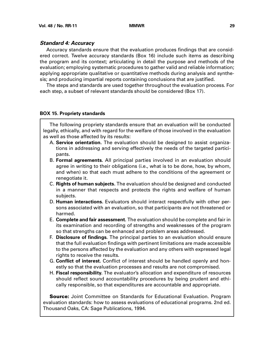#### <span id="page-45-0"></span>**Standard 4: Accuracy**

Accuracy standards ensure that the evaluation produces findings that are considered correct. Twelve accuracy standards (Box 16) include such items as describing the program and its context; articulating in detail the purpose and methods of the evaluation; employing systematic procedures to gather valid and reliable information; applying appropriate qualitative or quantitative methods during analysis and synthesis; and producing impartial reports containing conclusions that are justified.

The steps and standards are used together throughout the evaluation process. For each step, a subset of relevant standards should be considered (Box 17).

### **BOX 15. Propriety standards**

The following propriety standards ensure that an evaluation will be conducted legally, ethically, and with regard for the welfare of those involved in the evaluation as well as those affected by its results:

- A. **Service orientation.** The evaluation should be designed to assist organizations in addressing and serving effectively the needs of the targeted participants.
- B. **Formal agreements.** All principal parties involved in an evaluation should agree in writing to their obligations (i.e., what is to be done, how, by whom, and when) so that each must adhere to the conditions of the agreement or renegotiate it.
- C. **Rights of human subjects.** The evaluation should be designed and conducted in a manner that respects and protects the rights and welfare of human subjects.
- D. **Human interactions.** Evaluators should interact respectfully with other persons associated with an evaluation, so that participants are not threatened or harmed.
- E. **Complete and fair assessment.** The evaluation should be complete and fair in its examination and recording of strengths and weaknesses of the program so that strengths can be enhanced and problem areas addressed.
- F. **Disclosure of findings.** The principal parties to an evaluation should ensure that the full evaluation findings with pertinent limitations are made accessible to the persons affected by the evaluation and any others with expressed legal rights to receive the results.
- G. **Conflict of interest.** Conflict of interest should be handled openly and honestly so that the evaluation processes and results are not compromised.
- H. **Fiscal responsibility.** The evaluator's allocation and expenditure of resources should reflect sound accountability procedures by being prudent and ethically responsible, so that expenditures are accountable and appropriate.

**Source:** Joint Committee on Standards for Educational Evaluation. Program evaluation standards: how to assess evaluations of educational programs. 2nd ed. Thousand Oaks, CA: Sage Publications, 1994.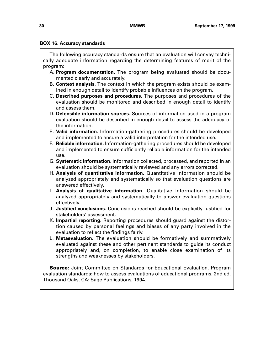#### **BOX 16. Accuracy standards**

The following accuracy standards ensure that an evaluation will convey technically adequate information regarding the determining features of merit of the program:

- A. **Program documentation.** The program being evaluated should be documented clearly and accurately.
- B. **Context analysis.** The context in which the program exists should be examined in enough detail to identify probable influences on the program.
- C. **Described purposes and procedures.** The purposes and procedures of the evaluation should be monitored and described in enough detail to identify and assess them.
- D. **Defensible information sources.** Sources of information used in a program evaluation should be described in enough detail to assess the adequacy of the information.
- E. **Valid information.** Information-gathering procedures should be developed and implemented to ensure a valid interpretation for the intended use.
- F. **Reliable information.** Information-gathering procedures should be developed and implemented to ensure sufficiently reliable information for the intended use.
- G. **Systematic information.** Information collected, processed, and reported in an evaluation should be systematically reviewed and any errors corrected.
- H. **Analysis of quantitative information.** Quantitative information should be analyzed appropriately and systematically so that evaluation questions are answered effectively.
- I. **Analysis of qualitative information.** Qualitative information should be analyzed appropriately and systematically to answer evaluation questions effectively.
- J. **Justified conclusions.** Conclusions reached should be explicitly justified for stakeholders' assessment.
- K. **Impartial reporting.** Reporting procedures should guard against the distortion caused by personal feelings and biases of any party involved in the evaluation to reflect the findings fairly.
- L. **Metaevaluation.** The evaluation should be formatively and summatively evaluated against these and other pertinent standards to guide its conduct appropriately and, on completion, to enable close examination of its strengths and weaknesses by stakeholders.

**Source:** Joint Committee on Standards for Educational Evaluation. Program evaluation standards: how to assess evaluations of educational programs. 2nd ed. Thousand Oaks, CA: Sage Publications, 1994.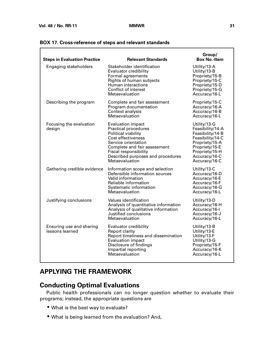F

| <b>Steps in Evaluation Practice</b>         | <b>Relevant Standards</b>                                                                                                                                                                                                                   | Group/<br><b>Box No.-Item</b>                                                                                                                                    |
|---------------------------------------------|---------------------------------------------------------------------------------------------------------------------------------------------------------------------------------------------------------------------------------------------|------------------------------------------------------------------------------------------------------------------------------------------------------------------|
| Engaging stakeholders                       | Stakeholder identification<br><b>Evaluator credibility</b><br>Formal agreements<br>Rights of human subjects<br>Human interactions<br>Conflict of interest<br>Metaevaluation                                                                 | Utility/13-A<br>Utility/13-B<br>Propriety/15-B<br>Propriety/15-C<br>Propriety/15-D<br>Propriety/15-G<br>Accuracy/16-L                                            |
| Describing the program                      | Complete and fair assessment<br>Program documentation<br>Context analysis<br>Metaevaluation                                                                                                                                                 | Propriety/15-C<br>Accuracy/16-A<br>Accuracy/16-B<br>Accuracy/16-L                                                                                                |
| Focusing the evaluation<br>design           | <b>Evaluation impact</b><br><b>Practical procedures</b><br>Political viability<br>Cost effectiveness<br>Service orientation<br>Complete and fair assessment<br>Fiscal responsibility<br>Described purposes and procedures<br>Metaevaluation | Utility/13-G<br>Feasibility/14-A<br>Feasibility/14-B<br>Feasibility/14-C<br>Propriety/15-A<br>Propriety/15-E<br>Propriety/15-H<br>Accuracy/16-C<br>Accuracy/16-C |
| Gathering credible evidence                 | Information scope and selection<br>Defensible information sources<br>Valid information<br>Reliable information<br>Systematic information<br>Metaevaluation                                                                                  | Utility/13-C<br>Accuracy/16-D<br>Accuracy/16-E<br>Accuracy/16-F<br>Accuracy/16-G<br>Accuracy/16-L                                                                |
| Justifying conclusions                      | Values identification<br>Analysis of quantitative information<br>Analysis of qualitative information<br>Justified conclusions<br>Metaevaluation                                                                                             | Utility/13-D<br>Accuracy/16-H<br>Accuracy/16-I<br>Accuracy/16-J<br>Accuracy/16-L                                                                                 |
| Ensuring use and sharing<br>lessons learned | Evaluator credibility<br>Report clarity<br>Report timeliness and dissemination<br><b>Evaluation impact</b><br>Disclosure of findings<br>Impartial reporting<br>Metaevaluation                                                               | Utility/13-B<br>Utility/13-E<br>Utility/13-F<br>Utility/13-G<br>Propriety/15-F<br>Accuracy/16-K<br>Accuracy/16-L                                                 |

### <span id="page-47-0"></span>**BOX 17. Cross-reference of steps and relevant standards**

# **APPLYING THE FRAMEWORK**

# **Conducting Optimal Evaluations**

Public health professionals can no longer question whether to evaluate their programs; instead, the appropriate questions are

- What is the best way to evaluate?
- What is being learned from the evaluation? And,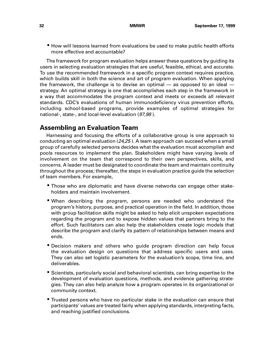<span id="page-48-0"></span>• How will lessons learned from evaluations be used to make public health efforts more effective and accountable?

The framework for program evaluation helps answer these questions by guiding its users in selecting evaluation strategies that are useful, feasible, ethical, and accurate. To use the recommended framework in a specific program context requires practice, which builds skill in both the science and art of program evaluation. When applying the framework, the challenge is to devise an optimal — as opposed to an ideal strategy. An optimal strategy is one that accomplishes each step in the framework in a way that accommodates the program context and meets or exceeds all relevant standards. CDC's evaluations of human immunodeficiency virus prevention efforts, including school-based programs, provide examples of optimal strategies for national-, state-, and local-level evaluation (97,98 ).

# **Assembling an Evaluation Team**

Harnessing and focusing the efforts of a collaborative group is one approach to conducting an optimal evaluation (24,25 ). A team approach can succeed when a small group of carefully selected persons decides what the evaluation must accomplish and pools resources to implement the plan. Stakeholders might have varying levels of involvement on the team that correspond to their own perspectives, skills, and concerns. A leader must be designated to coordinate the team and maintain continuity throughout the process; thereafter, the steps in evaluation practice guide the selection of team members. For example,

- Those who are diplomatic and have diverse networks can engage other stakeholders and maintain involvement.
- When describing the program, persons are needed who understand the program's history, purpose, and practical operation in the field. In addition, those with group facilitation skills might be asked to help elicit unspoken expectations regarding the program and to expose hidden values that partners bring to the effort. Such facilitators can also help the stakeholders create logic models that describe the program and clarify its pattern of relationships between means and ends.
- Decision makers and others who guide program direction can help focus the evaluation design on questions that address specific users and uses. They can also set logistic parameters for the evaluation's scope, time line, and deliverables.
- Scientists, particularly social and behavioral scientists, can bring expertise to the development of evaluation questions, methods, and evidence gathering strategies. They can also help analyze how a program operates in its organizational or community context.
- Trusted persons who have no particular stake in the evaluation can ensure that participants' values are treated fairly when applying standards, interpreting facts, and reaching justified conclusions.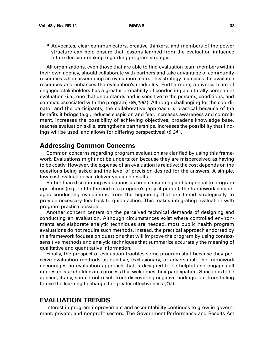<span id="page-49-0"></span>• Advocates, clear communicators, creative thinkers, and members of the power structure can help ensure that lessons learned from the evaluation influence future decision-making regarding program strategy.

All organizations, even those that are able to find evaluation team members within their own agency, should collaborate with partners and take advantage of community resources when assembling an evaluation team. This strategy increases the available resources and enhances the evaluation's credibility. Furthermore, a diverse team of engaged stakeholders has a greater probability of conducting a culturally competent evaluation (i.e., one that understands and is sensitive to the persons, conditions, and contexts associated with the program) (99,100 ). Although challenging for the coordinator and the participants, the collaborative approach is practical because of the benefits it brings (e.g., reduces suspicion and fear, increases awareness and commitment, increases the possibility of achieving objectives, broadens knowledge base, teaches evaluation skills, strengthens partnerships, increases the possibility that findings will be used, and allows for differing perspectives) (8,24 ).

### **Addressing Common Concerns**

Common concerns regarding program evaluation are clarified by using this framework. Evaluations might not be undertaken because they are misperceived as having to be costly. However, the expense of an evaluation is relative; the cost depends on the questions being asked and the level of precision desired for the answers. A simple, low-cost evaluation can deliver valuable results.

Rather than discounting evaluations as time-consuming and tangential to program operations (e.g., left to the end of a program's project period), the framework encourages conducting evaluations from the beginning that are timed strategically to provide necessary feedback to guide action. This makes integrating evaluation with program practice possible.

Another concern centers on the perceived technical demands of designing and conducting an evaluation. Although circumstances exist where controlled environments and elaborate analytic techniques are needed, most public health program evaluations do not require such methods. Instead, the practical approach endorsed by this framework focuses on questions that will improve the program by using contextsensitive methods and analytic techniques that summarize accurately the meaning of qualitative and quantitative information.

Finally, the prospect of evaluation troubles some program staff because they perceive evaluation methods as punitive, exclusionary, or adversarial. The framework encourages an evaluation approach that is designed to be helpful and engages all interested stakeholders in a process that welcomes their participation. Sanctions to be applied, if any, should not result from discovering negative findings, but from failing to use the learning to change for greater effectiveness (10 ).

## **EVALUATION TRENDS**

Interest in program improvement and accountability continues to grow in government, private, and nonprofit sectors. The Government Performance and Results Act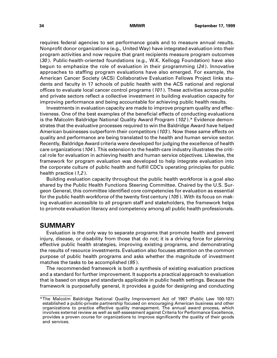<span id="page-50-0"></span>requires federal agencies to set performance goals and to measure annual results. Nonprofit donor organizations (e.g., United Way) have integrated evaluation into their program activities and now require that grant recipients measure program outcomes (30 ). Public-health-oriented foundations (e.g., W.K. Kellogg Foundation) have also begun to emphasize the role of evaluation in their programming (24 ). Innovative approaches to staffing program evaluations have also emerged. For example, the American Cancer Society (ACS) Collaborative Evaluation Fellows Project links students and faculty in 17 schools of public health with the ACS national and regional offices to evaluate local cancer control programs (101 ). These activities across public and private sectors reflect a collective investment in building evaluation capacity for improving performance and being accountable for achieving public health results.

Investments in evaluation capacity are made to improve program quality and effectiveness. One of the best examples of the beneficial effects of conducting evaluations is the Malcolm Baldridge National Quality Award Program (102 ).\* Evidence demonstrates that the evaluative processes required to win the Baldridge Award have helped American businesses outperform their competitors (103). Now these same effects on quality and performance are being translated to the health and human service sector. Recently, Baldridge Award criteria were developed for judging the excellence of health care organizations (104 ). This extension to the health-care industry illustrates the critical role for evaluation in achieving health and human service objectives. Likewise, the framework for program evaluation was developed to help integrate evaluation into the corporate culture of public health and fulfill CDC's operating principles for public health practice (1,2).

Building evaluation capacity throughout the public health workforce is a goal also shared by the Public Health Functions Steering Committee. Chaired by the U.S. Surgeon General, this committee identified core competencies for evaluation as essential for the public health workforce of the twenty first century (105 ). With its focus on making evaluation accessible to all program staff and stakeholders, the framework helps to promote evaluation literacy and competency among all public health professionals.

### **SUMMARY**

Evaluation is the only way to separate programs that promote health and prevent injury, disease, or disability from those that do not; it is a driving force for planning effective public health strategies, improving existing programs, and demonstrating the results of resource investments. Evaluation also focuses attention on the common purpose of public health programs and asks whether the magnitude of investment matches the tasks to be accomplished (95 ).

The recommended framework is both a synthesis of existing evaluation practices and a standard for further improvement. It supports a practical approach to evaluation that is based on steps and standards applicable in public health settings. Because the framework is purposefully general, it provides a guide for designing and conducting

<sup>\*</sup>The Malcolm Baldridge National Quality Improvement Act of 1987 (Public Law 100-107) established a public-private partnership focused on encouraging American business and other organizations to practice effective quality management. The annual award process, which involves external review as well as self-assessment against Criteria for Performance Excellence, provides a proven course for organizations to improve significantly the quality of their goods and services.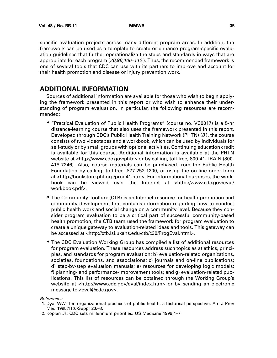<span id="page-51-0"></span>specific evaluation projects across many different program areas. In addition, the framework can be used as a template to create or enhance program-specific evaluation guidelines that further operationalize the steps and standards in ways that are appropriate for each program (20,96,106–112 ). Thus, the recommended framework is one of several tools that CDC can use with its partners to improve and account for their health promotion and disease or injury prevention work.

# **ADDITIONAL INFORMATION**

Sources of additional information are available for those who wish to begin applying the framework presented in this report or who wish to enhance their understanding of program evaluation. In particular, the following resources are recommended:

- "Practical Evaluation of Public Health Programs" (course no. VC0017) is a 5-hr distance-learning course that also uses the framework presented in this report. Developed through CDC's Public Health Training Network (PHTN) (8 ), the course consists of two videotapes and a workbook, which can be used by individuals for self-study or by small groups with optional activities. Continuing education credit is available for this course. Additional information is available at the PHTN website at <http://www.cdc.gov/phtn> or by calling, toll-free, 800-41-TRAIN (800- 418-7246). Also, course materials can be purchased from the Public Health Foundation by calling, toll-free, 877-252-1200, or using the on-line order form at <http://bookstore.phf.org/prod41.htm>. For informational purposes, the workbook can be viewed over the Internet at <http://www.cdc.gov/eval/ workbook.pdf>.
- The Community Toolbox (CTB) is an Internet resource for health promotion and community development that contains information regarding how to conduct public health work and social change on a community level. Because they consider program evaluation to be a critical part of successful community-based health promotion, the CTB team used the framework for program evaluation to create a unique gateway to evaluation-related ideas and tools. This gateway can be accessed at <http://ctb.lsi.ukans.edu/ctb/c30/ProgEval.html>.
- The CDC Evaluation Working Group has compiled a list of additional resources for program evaluation. These resources address such topics as a) ethics, principles, and standards for program evaluation; b) evaluation-related organizations, societies, foundations, and associations; c) journals and on-line publications; d) step-by-step evaluation manuals; e) resources for developing logic models; f) planning- and performance-improvement tools; and g) evaluation-related publications. This list of resources can be obtained through the Working Group's website at <http://www.cdc.gov/eval/index.htm> or by sending an electronic message to <eval@cdc.gov>.

#### References

- 1. Dyal WW. Ten organizational practices of public health: a historical perspective. Am J Prev Med 1995;11(6)Suppl 2:6–8.
- 2. Koplan JP. CDC sets millennium priorities. US Medicine 1999;4–7.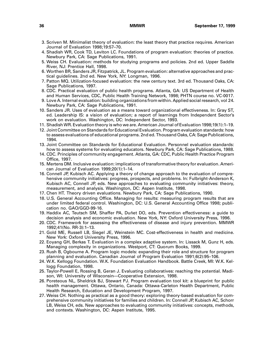- 3. Scriven M. Minimalist theory of evaluation: the least theory that practice requires. American Journal of Evaluation 1998;19:57–70.
- 4. Shadish WR, Cook TD, Leviton LC. Foundations of program evaluation: theories of practice. Newbury Park, CA: Sage Publications, 1991.
- 5. Weiss CH. Evaluation: methods for studying programs and policies. 2nd ed. Upper Saddle River, NJ: Prentice Hall, 1998.
- 6. Worthen BR, Sanders JR, Fitzpatrick, JL. Program evaluation: alternative approaches and practical guidelines. 2nd ed. New York, NY: Longman, 1996.
- 7. Patton MQ. Utilization-focused evaluation: the new century text. 3rd ed. Thousand Oaks, CA: Sage Publications, 1997.
- 8. CDC. Practical evaluation of public health programs. Atlanta, GA: US Department of Health and Human Services, CDC, Public Health Training Network, 1998; PHTN course no. VC-0017.
- 9. Love A. Internal evaluation: building organizations from within. Applied social research, vol 24. Newbury Park, CA: Sage Publications, 1991.
- 10. Sanders JR. Uses of evaluation as a means toward organizational effectiveness. In: Gray ST, ed. Leadership IS: a vision of evaluation; a report of learnings from Independent Sector's work on evaluation. Washington, DC: Independent Sector, 1993.
- 11. Shadish WR. Evaluation theory is who we are. American Journal of Evaluation 1998;19(1):1–19.
- 12. Joint Committee on Standards for Educational Evaluation. Program evaluation standards: how to assess evaluations of educational programs. 2nd ed. Thousand Oaks, CA: Sage Publications, 1994.
- 13. Joint Committee on Standards for Educational Evaluation. Personnel evaluation standards: how to assess systems for evaluating educators. Newbury Park, CA: Sage Publications, 1988.
- 14. CDC. Principles of community engagement. Atlanta, GA: CDC, Public Health Practice Program Office, 1997.
- 15. Mertens DM. Inclusive evaluation: implications of transformative theory for evaluation. American Journal of Evaluation 1999;20(1):1–14.
- 16. Connell JP, Kubisch AC. Applying a theory of change approach to the evaluation of comprehensive community initiatives: progress, prospects, and problems. In: Fulbright-Anderson K, Kubisch AC, Connell JP, eds. New approaches to evaluating community initiatives: theory, measurement, and analysis. Washington, DC: Aspen Institute, 1998.
- 17. Chen HT. Theory driven evaluations. Newbury Park, CA: Sage Publications, 1990.
- 18. U.S. General Accounting Office. Managing for results: measuring program results that are under limited federal control. Washington, DC: U.S. General Accounting Office 1998; publication no. GAO/GGD-99-16.
- 19. Haddix AC, Teutsch SM, Shaffer PA, Duñet DO, eds. Prevention effectiveness: a guide to decision analysis and economic evaluation. New York, NY: Oxford University Press, 1996.
- 20. CDC. Framework for assessing the effectiveness of disease and injury prevention. MMWR 1992;41(No. RR-3):1–13.
- 21. Gold ME, Russell LB, Siegel JE, Weinstein MC. Cost-effectiveness in health and medicine. New York: Oxford University Press, 1996.
- 22. Eoyang GH, Berkas T. Evaluation in a complex adaptive system. In: Lissack M, Gunz H, eds. Managing complexity in organizations. Westport, CT: Quorum Books, 1999.
- 23. Rush B, Ogbourne A. Program logic models: expanding their role and structure for program planning and evaluation. Canadian Journal of Program Evaluation 1991;6(2):95–106.
- 24. W.K. Kellogg Foundation. W.K. Foundation Evaluation Handbook. Battle Creek, MI: W.K. Kellogg Foundation, 1998.
- 25. Taylor-Powell E, Rossing B, Geran J. Evaluating collaboratives: reaching the potential. Madison, WI: University of Wisconsin—Cooperative Extension, 1998.
- 26. Poreteous NL, Sheldrick BJ, Stewart PJ. Program evaluation tool kit: a blueprint for public health management. Ottawa, Ontario, Canada: Ottawa-Carleton Health Department, Public Health Research, Education and Development Program, 1997.
- 27. Weiss CH. Nothing as practical as a good theory: exploring theory-based evaluation for comprehensive community initiatives for families and children. In: Connell JP, Kubisch AC, Schorr LB, Weiss CH, eds. New approaches to evaluating community initiatives: concepts, methods, and contexts. Washington, DC: Aspen Institute, 1995.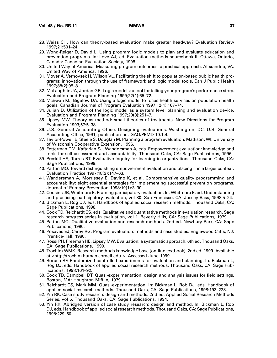- 28. Weiss CH. How can theory-based evaluation make greater headway? Evaluation Review 1997;21:501–24.
- 29. Wong-Reiger D, David L. Using program logic models to plan and evaluate education and prevention programs. In: Love AJ, ed. Evaluation methods sourcebook II. Ottawa, Ontario, Canada: Canadian Evaluation Society, 1995.
- 30. United Way of America. Measuring program outcomes: a practical approach. Alexandria, VA: United Way of America, 1996.
- 31. Moyer A, Verhovsek H, Wilson VL. Facilitating the shift to population-based public health programs: innovation through the use of framework and logic model tools. Can J Public Health 1997;88(2):95–8.
- 32. McLaughlin JA, Jordan GB. Logic models: a tool for telling your program's performance story. Evaluation and Program Planning 1999;22(1):65–72.
- 33. McEwan KL, Bigelow DA. Using a logic model to focus health services on population health goals. Canadian Journal of Program Evaluation 1997;12(1):167–74.
- 34. Julian D. Utilization of the logic model as a system level planning and evaluation device. Evaluation and Program Planning 1997;20(3):251–7.
- 35. Lipsey MW. Theory as method: small theories of treatments. New Directions for Program Evaluation 1993;57:5–38.
- 36. U.S. General Accounting Office. Designing evaluations. Washington, DC: U.S. General Accounting Office, 1991; publication no. GAO/PEMD-10.1.4.
- 37. Taylor-Powell E, Steele S, Douglah M. Planning a program evaluation. Madison, WI: University of Wisconsin Cooperative Extension, 1996.
- 38. Fetterman DM, Kaftarian SJ, Wandersman A, eds. Empowerment evaluation: knowledge and tools for self-assessment and accountability. Thousand Oaks, CA: Sage Publications, 1996.
- 39. Preskill HS, Torres RT. Evaluative inquiry for learning in organizations. Thousand Oaks, CA: Sage Publications, 1999.
- 40. Patton MQ. Toward distinguishing empowerment evaluation and placing it in a larger context. Evaluation Practice 1997;18(2):147–63.
- 41. Wandersman A, Morrissey E, Davino K, et al. Comprehensive quality programming and accountability: eight essential strategies for implementing successful prevention programs. Journal of Primary Prevention 1998;19(1):3–30.
- 42. Cousins JB, Whitmore E. Framing participatory evaluation. In: Whitmore E, ed. Understanding and practicing participatory evaluation, vol 80. San Francisco, CA: Jossey-Bass, 1998:5–24.
- 43. Bickman L, Rog DJ, eds. Handbook of applied social research methods. Thousand Oaks, CA: Sage Publications, 1998.
- 44. Cook TD, Reichardt CS, eds. Qualitative and quantitative methods in evaluation research. Sage research progress series in evaluation, vol 1. Beverly Hills, CA: Sage Publications, 1979.
- 45. Patton MQ. Qualitative evaluation and research methods. 2nd ed. Newbury Park, CA: Sage Publications, 1990.
- 46. Posavac EJ, Carey RG. Program evaluation: methods and case studies. Englewood Cliffs, NJ: Prentice-Hall, 1980.
- 47. Rossi PH, Freeman HE, Lipsey MW. Evaluation: a systematic approach. 6th ed. Thousand Oaks, CA: Sage Publications, 1999.
- 48. Trochim WMK. Research methods knowledge base [on-line textbook]. 2nd ed. 1999. Available at <http://trochim.human.cornell.edu >. Accessed June 1999.
- 49. Boruch RF. Randomized controlled experiments for evaluation and planning. In: Bickman L, Rog DJ, eds. Handbook of applied social research methods. Thousand Oaks, CA: Sage Publications, 1998:161–92.
- 50. Cook TD, Campbell DT. Quasi-experimentation: design and analysis issues for field settings. Boston, MA: Houghton Mifflin, 1979.
- 51. Reichardt CS, Mark MM. Quasi-experimentation. In: Bickman L, Rob DJ, eds. Handbook of applied social research methods. Thousand Oaks, CA: Sage Publications, 1998:193–228.
- 52. Yin RK. Case study research: design and methods. 2nd ed. Applied Social Research Methods Series, vol 5. Thousand Oaks, CA: Sage Publications, 1994.
- 53. Yin RK. Abridged version of case study research: design and method. In: Bickman L, Rob DJ, eds. Handbook of applied social research methods. Thousand Oaks, CA: Sage Publications, 1998:229–60.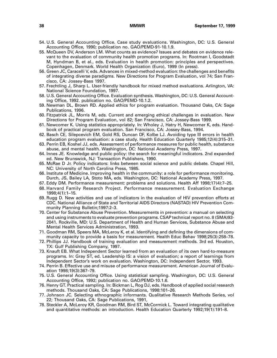- 54. U.S. General Accounting Office. Case study evaluations. Washington, DC: U.S. General Accounting Office, 1990; publication no. GAO/PEMD-91-10.1.9.
- 55. McQueen DV, Anderson LM. What counts as evidence? Issues and debates on evidence relevant to the evaluation of community health promotion programs. In: Rootman I, Goodstadt M, Hyndman B, et al., eds. Evaluation in health promotion: principles and perspectives. Copenhagen, Denmark. World Health Organization (Euro), 1999 (In press).
- 56. Green JC, Caracelli V, eds. Advances in mixed-method evaluation: the challenges and benefits of integrating diverse paradigms. New Directions for Program Evaluation, vol 74; San Francisco, CA: Jossey-Bass 1997.
- 57. Frechtling J, Sharp L. User-friendly handbook for mixed method evaluations. Arlington, VA: National Science Foundation, 1997.
- 58. U.S. General Accounting Office. Evaluation synthesis. Washington, DC: U.S. General Accounting Office, 1992. publication no. GAO/PEMD-10.1.2.
- 59. Newman DL, Brown RD. Applied ethics for program evaluation. Thousand Oaks, CA: Sage Publications, 1996.
- 60. Fitzpatrick JL, Morris M, eds. Current and emerging ethical challenges in evaluation. New Directions for Program Evaluation, vol 82; San Francisco, CA: Jossey-Bass 1999.
- 61. Newcomer K. Using statistics appropriately. In: Wholey J, Hatry H, Newcomer K, eds. Handbook of practical program evaluation. San Francisco, CA: Jossey-Bass, 1994.
- 62. Basch CE, Silepcevich EM, Gold RS, Duncan DF, Kolbe LJ. Avoiding type III errors in health education program evaluation: a case study. Health Education Quarterly 1985;12(4):315–31.
- 63. Perrin EB, Koshel JJ, eds. Assessment of performance measures for public health, substance abuse, and mental health. Washington, DC: National Academy Press, 1997.
- 64. Innes JE. Knowledge and public policy: the search for meaningful indicators. 2nd expanded ed. New Brunswick, NJ: Transaction Publishers, 1990.
- 65. McRae D Jr. Policy indicators: links between social science and public debate. Chapel Hill, NC: University of North Carolina Press, 1985.
- 66. Institute of Medicine. Improving health in the community: a role for performance monitoring. Durch, JS, Bailey LA, Stoto MA, eds. Washington, DC: National Academy Press, 1997.
- 67. Eddy DM. Performance measurement: problems and solutions. Health Aff 1998;17(4):7–25.
- 68. Harvard Family Research Project. Performance measurement. Evaluation Exchange 1998;4(1):1–15.
- 69. Rugg D. New activities and use of indicators in the evaluation of HIV prevention efforts at CDC. National Alliance of State and Territorial AIDS Directors (NASTAD) HIV Prevention Community Planning Bulletin;1997:2–3.
- 70. Center for Substance Abuse Prevention. Measurements in prevention: a manual on selecting and using instruments to evaluate prevention programs. CSAP technical report no. 8 (SMA)93- 2041. Rockville, MD: U.S. Department of Health and Human Services, Substance Abuse and Mental Health Services Administration, 1993.
- 71. Goodman RM, Speers MA, McLeroy K, et al. Identifying and defining the dimensions of community capacity to provide a basis for measurement. Health Educ Behav 1998;25(3):258–78.
- 72. Phillips JJ. Handbook of training evaluation and measurement methods. 3rd ed. Houston, TX: Gulf Publishing Company, 1997.
- 73. Knauft EB. What Independent Sector learned from an evaluation of its own hard-to-measure programs. In: Gray ST, ed. Leadership IS: a vision of evaluation; a report of learnings from Independent Sector's work on evaluation. Washington, DC: Independent Sector, 1993.
- 74. Perrin B. Effective use and misuse of performance measurement. American Journal of Evaluation 1998;19(3):367–79.
- 75. U.S. General Accounting Office. Using statistical sampling. Washington, DC: U.S. General Accounting Office, 1992; publication no. GAO/PEMD-10.1.6.
- 76. Henry GT. Practical sampling. In: Bickman L, Rog DJ, eds. Handbook of applied social research methods. Thousand Oaks, CA: Sage Publications, 1998:101–26.
- 77. Johnson JC. Selecting ethnographic informants. Qualitative Research Methods Series, vol 22; Thousand Oaks, CA: Sage Publications, 1991,
- 78. Steckler A, McLeroy KR, Goodman RM, Bird ST, McCormick L. Toward integrating qualitative and quantitative methods: an introduction. Health Education Quarterly 1992;19(1):191–8.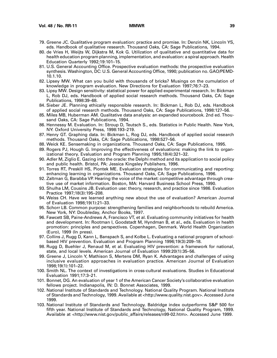- 79. Greene JC. Qualitative program evaluation: practice and promise. In: Denzin NK, Lincoln YS, eds. Handbook of qualitative research. Thousand Oaks, CA: Sage Publications, 1994.
- 80. de Vries H, Weijts W, Dijkstra M, Kok G. Utilization of qualitative and quantitative data for health education program planning, implementation, and evaluation: a spiral approach. Health Education Quarterly 1992;19:101–15.
- 81. U.S. General Accounting Office. Prospective evaluation methods: the prospective evaluation synthesis. Washington, DC: U.S. General Accounting Office, 1990; publication no. GAO/PEMD-10.1.10.
- 82. Lipsey MW. What can you build with thousands of bricks? Musings on the cumulation of knowledge in program evaluation. New Directions for Evaluation 1997;76:7–23.
- 83. Lipsy MW. Design sensitivity: statistical power for applied experimental research. In: Bickman L, Rob DJ, eds. Handbook of applied social research methods. Thousand Oaks, CA: Sage Publications, 1998:39–68.
- 84. Sieber JE. Planning ethically responsible research. In: Bickman L, Rob DJ, eds. Handbook of applied social research methods. Thousand Oaks, CA: Sage Publications, 1998:127–56.
- 85. Miles MB, Huberman AM. Qualitative data analysis: an expanded sourcebook. 2nd ed. Thousand Oaks, CA: Sage Publications, 1994.
- 86. Hennessy M. Evaluation. In: Stroup D, Teutsch S., eds. Statistics in Public Health. New York, NY: Oxford University Press, 1998:193–219.
- 87. Henry GT. Graphing data. In: Bickman L, Rog DJ, eds. Handbook of applied social research methods. Thousand Oaks, CA: Sage Publications, 1998:527–56.
- 88. Weick KE. Sensemaking in organizations. Thousand Oaks, CA: Sage Publications, 1995.
- 89. Rogers PJ, Hough G. Improving the effectiveness of evaluations: making the link to organizational theory. Evaluation and Program Planning 1995;18(4):321–32.
- 90. Adler M, Ziglio E. Gazing into the oracle: the Delphi method and its application to social policy and public health. Bristol, PA: Jessica Kingsley Publishers, 1996.
- 91. Torres RT, Preskill HS, Piontek ME. Evaluation strategies for communicating and reporting: enhancing learning in organizations. Thousand Oaks, CA: Sage Publications, 1996.
- 92. Zaltman G, Barabba VP. Hearing the voice of the market: competitive advantage through creative use of market information. Boston, MA: Harvard Business School Press, 1990.
- 93. Shulha LM, Cousins JB. Evaluation use: theory, research, and practice since 1986. Evaluation Practice 1997;18(3):195–208.
- 94. Weiss CH. Have we learned anything new about the use of evaluation? American Journal of Evaluation 1998;19(1):21–33.
- 95. Schorr LB. Common purpose: strengthening families and neighborhoods to rebuild America. New York, NY: Doubleday, Anchor Books, 1997.
- 96. Fawcett SB, Paine-Andrews A, Francisco VT, et al. Evaluating community initiatives for health and development. In: Rootman I, Goodstadt M, Hyndman B, et al., eds. Evaluation in health promotion: principles and perspectives. Copenhagen, Denmark. World Health Organization (Euro), 1999 (In press).
- 97. Collins J, Rugg D, Kann L, Banspach S, and Kolbe L. Evaluating a national program of schoolbased HIV prevention. Evaluation and Program Planning 1996;19(3):209–18.
- 98. Rugg D, Buehler J, Renaud M, et al. Evaluating HIV prevention: a framework for national, state, and local levels. American Journal of Evaluation 1999:20(1):35–56.
- 99. Greene J, Lincoln Y, Mathison S, Mertens DM, Ryan K. Advantages and challenges of using inclusive evaluation approaches in evaluation practice. American Journal of Evaluation 1998;19(1):101–22.
- 100. Smith NL. The context of investigations in cross-cultural evaluations. Studies in Educational Evaluation 1991;17:3–21.
- 101. Bonnet, DG. An evaluation of year 1 of the American Cancer Society's collaborative evaluation fellows project. Indianapolis, IN: D. Bonnet Associates, 1999.
- 102. National Institute of Standards and Technology. National Quality Program. National Institute of Standards and Technology, 1999. Available at <http://www.quality.nist.gov>. Accessed June 1999.
- 103. National Institute of Standards and Technology. Baldridge index outperforms S&P 500 for fifth year. National Institute of Standards and Technology, National Quality Program, 1999. Available at <http://www.nist.gov/public\_affairs/releases/n99-02.htm>. Accessed June 1999.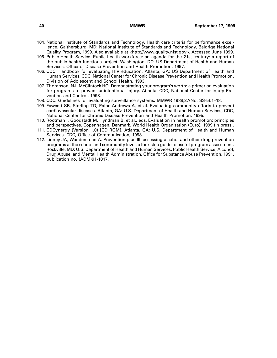- 104. National Institute of Standards and Technology. Health care criteria for performance excellence. Gaithersburg, MD: National Institute of Standards and Technology, Baldrige National Quality Program, 1999. Also available at <http://www.quality.nist.gov>. Accessed June 1999.
- 105. Public Health Service. Public health workforce: an agenda for the 21st century: a report of the public health functions project. Washington, DC: US Department of Health and Human Services, Office of Disease Prevention and Health Promotion, 1997.
- 106. CDC. Handbook for evaluating HIV education. Atlanta, GA: US Department of Health and Human Services, CDC, National Center for Chronic Disease Prevention and Health Promotion, Division of Adolescent and School Health, 1993.
- 107. Thompson, NJ, McClintock HO. Demonstrating your program's worth: a primer on evaluation for programs to prevent unintentional injury. Atlanta: CDC, National Center for Injury Prevention and Control, 1998.
- 108. CDC. Guidelines for evaluating surveillance systems. MMWR 1988;37(No. SS-5):1–18.
- 109. Fawcett SB, Sterling TD, Paine-Andrews A, et al. Evaluating community efforts to prevent cardiovascular diseases. Atlanta, GA: U.S. Department of Health and Human Services, CDC, National Center for Chronic Disease Prevention and Health Promotion, 1995.
- 110. Rootman I, Goodstadt M, Hyndman B, et al., eds. Evaluation in health promotion: principles and perspectives. Copenhagen, Denmark. World Health Organization (Euro), 1999 (In press).
- 111. CDCynergy (Version 1.0) [CD ROM]. Atlanta, GA: U.S. Department of Health and Human Services, CDC, Office of Communication, 1998.
- 112. Linney JA, Wandersman A. Prevention plus III: assessing alcohol and other drug prevention programs at the school and community level: a four-step guide to useful program assessment. Rockville, MD: U.S. Department of Health and Human Services, Public Health Service, Alcohol, Drug Abuse, and Mental Health Administration, Office for Substance Abuse Prevention, 1991. publication no. (ADM)91-1817.